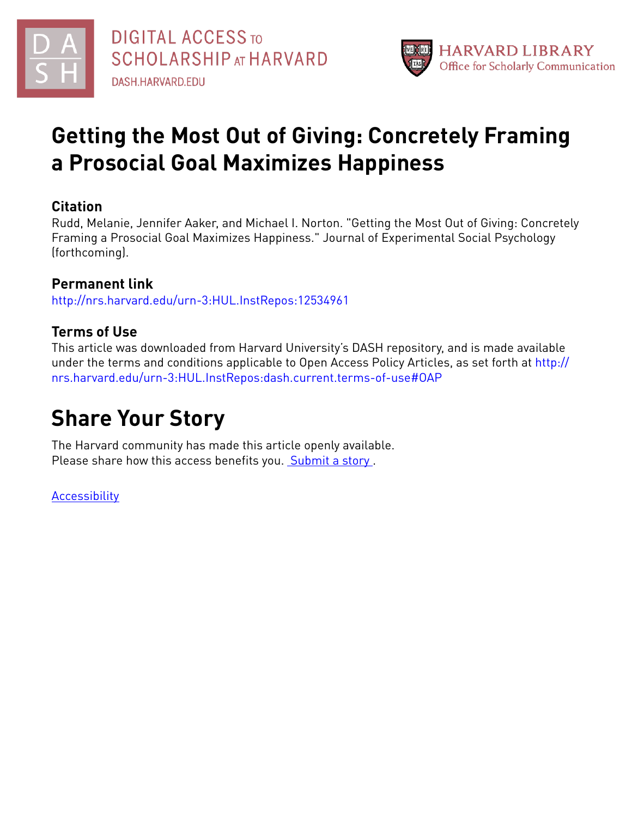

# **Getting the Most Out of Giving: Concretely Framing a Prosocial Goal Maximizes Happiness**

# **Citation**

Rudd, Melanie, Jennifer Aaker, and Michael I. Norton. "Getting the Most Out of Giving: Concretely Framing a Prosocial Goal Maximizes Happiness." Journal of Experimental Social Psychology (forthcoming).

# **Permanent link**

<http://nrs.harvard.edu/urn-3:HUL.InstRepos:12534961>

# **Terms of Use**

This article was downloaded from Harvard University's DASH repository, and is made available under the terms and conditions applicable to Open Access Policy Articles, as set forth at [http://](http://nrs.harvard.edu/urn-3:HUL.InstRepos:dash.current.terms-of-use#OAP) [nrs.harvard.edu/urn-3:HUL.InstRepos:dash.current.terms-of-use#OAP](http://nrs.harvard.edu/urn-3:HUL.InstRepos:dash.current.terms-of-use#OAP)

# **Share Your Story**

The Harvard community has made this article openly available. Please share how this access benefits you. [Submit](http://osc.hul.harvard.edu/dash/open-access-feedback?handle=&title=Getting%20the%20Most%20Out%20of%20Giving:%20Concretely%20Framing%20a%20Prosocial%20Goal%20Maximizes%20Happiness&community=1/3345929&collection=1/3345930&owningCollection1/3345930&harvardAuthors=37f6b9791d852ee39e5cdd4ba470aa3c&department) a story.

[Accessibility](https://dash.harvard.edu/pages/accessibility)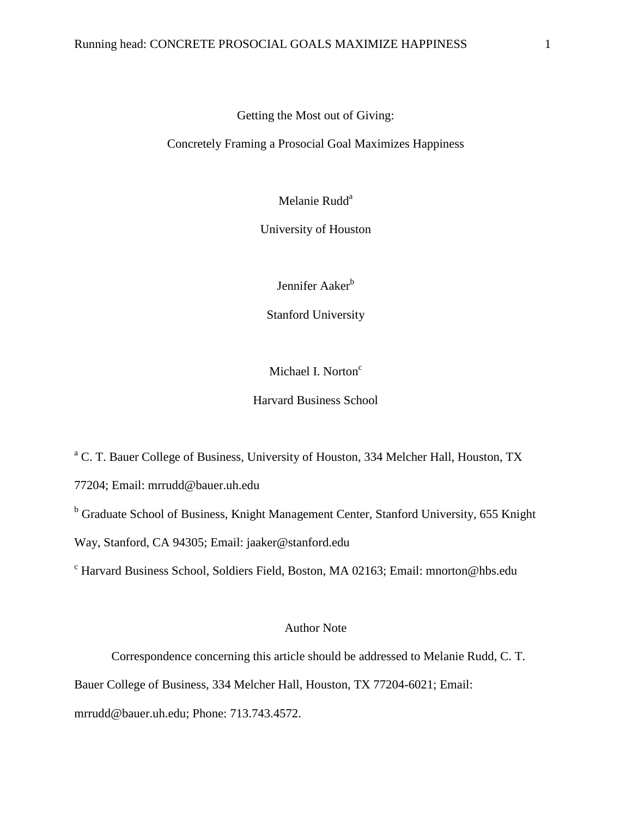# Getting the Most out of Giving:

Concretely Framing a Prosocial Goal Maximizes Happiness

Melanie Rudd<sup>a</sup>

University of Houston

Jennifer Aaker<sup>b</sup>

Stanford University

Michael I. Norton<sup>c</sup>

Harvard Business School

<sup>a</sup> C. T. Bauer College of Business, University of Houston, 334 Melcher Hall, Houston, TX

77204; Email: mrrudd@bauer.uh.edu

<sup>b</sup> Graduate School of Business, Knight Management Center, Stanford University, 655 Knight

Way, Stanford, CA 94305; Email: jaaker@stanford.edu

<sup>c</sup> Harvard Business School, Soldiers Field, Boston, MA 02163; Email: mnorton@hbs.edu

## Author Note

Correspondence concerning this article should be addressed to Melanie Rudd, C. T.

Bauer College of Business, 334 Melcher Hall, Houston, TX 77204-6021; Email:

mrrudd@bauer.uh.edu; Phone: 713.743.4572.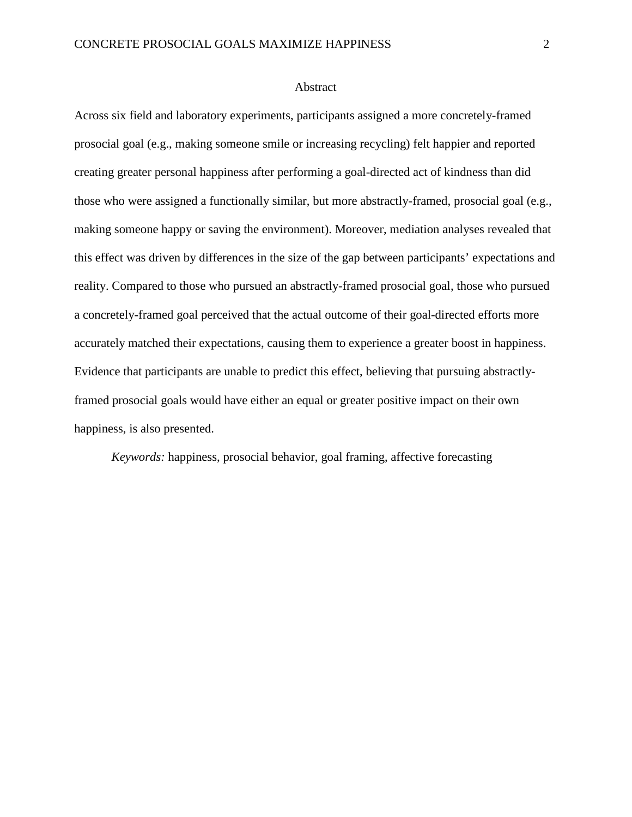### Abstract

Across six field and laboratory experiments, participants assigned a more concretely-framed prosocial goal (e.g., making someone smile or increasing recycling) felt happier and reported creating greater personal happiness after performing a goal-directed act of kindness than did those who were assigned a functionally similar, but more abstractly-framed, prosocial goal (e.g., making someone happy or saving the environment). Moreover, mediation analyses revealed that this effect was driven by differences in the size of the gap between participants' expectations and reality. Compared to those who pursued an abstractly-framed prosocial goal, those who pursued a concretely-framed goal perceived that the actual outcome of their goal-directed efforts more accurately matched their expectations, causing them to experience a greater boost in happiness. Evidence that participants are unable to predict this effect, believing that pursuing abstractlyframed prosocial goals would have either an equal or greater positive impact on their own happiness, is also presented.

*Keywords:* happiness, prosocial behavior, goal framing, affective forecasting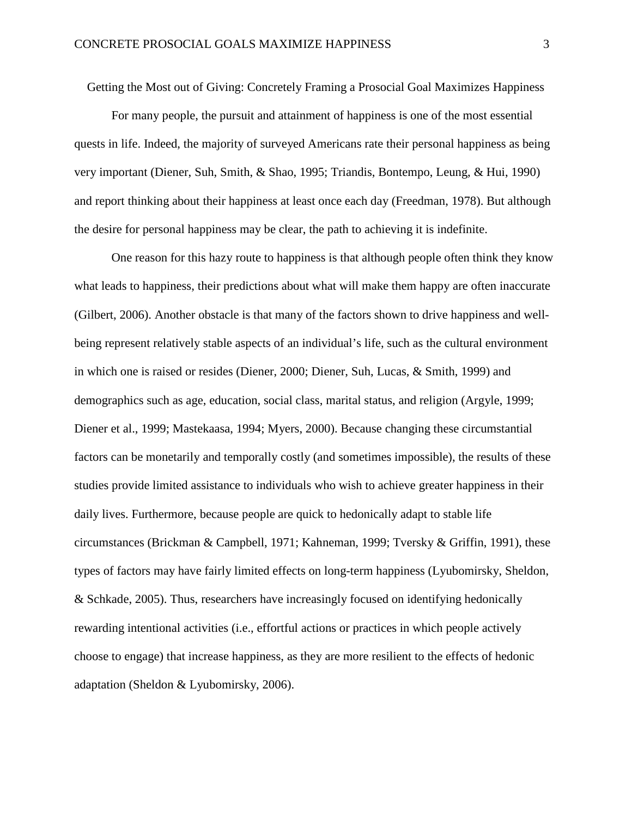Getting the Most out of Giving: Concretely Framing a Prosocial Goal Maximizes Happiness

For many people, the pursuit and attainment of happiness is one of the most essential quests in life. Indeed, the majority of surveyed Americans rate their personal happiness as being very important (Diener, Suh, Smith, & Shao, 1995; Triandis, Bontempo, Leung, & Hui, 1990) and report thinking about their happiness at least once each day (Freedman, 1978). But although the desire for personal happiness may be clear, the path to achieving it is indefinite.

One reason for this hazy route to happiness is that although people often think they know what leads to happiness, their predictions about what will make them happy are often inaccurate (Gilbert, 2006). Another obstacle is that many of the factors shown to drive happiness and wellbeing represent relatively stable aspects of an individual's life, such as the cultural environment in which one is raised or resides (Diener, 2000; Diener, Suh, Lucas, & Smith, 1999) and demographics such as age, education, social class, marital status, and religion (Argyle, 1999; Diener et al., 1999; Mastekaasa, 1994; Myers, 2000). Because changing these circumstantial factors can be monetarily and temporally costly (and sometimes impossible), the results of these studies provide limited assistance to individuals who wish to achieve greater happiness in their daily lives. Furthermore, because people are quick to hedonically adapt to stable life circumstances (Brickman & Campbell, 1971; Kahneman, 1999; Tversky & Griffin, 1991), these types of factors may have fairly limited effects on long-term happiness (Lyubomirsky, Sheldon, & Schkade, 2005). Thus, researchers have increasingly focused on identifying hedonically rewarding intentional activities (i.e., effortful actions or practices in which people actively choose to engage) that increase happiness, as they are more resilient to the effects of hedonic adaptation (Sheldon & Lyubomirsky, 2006).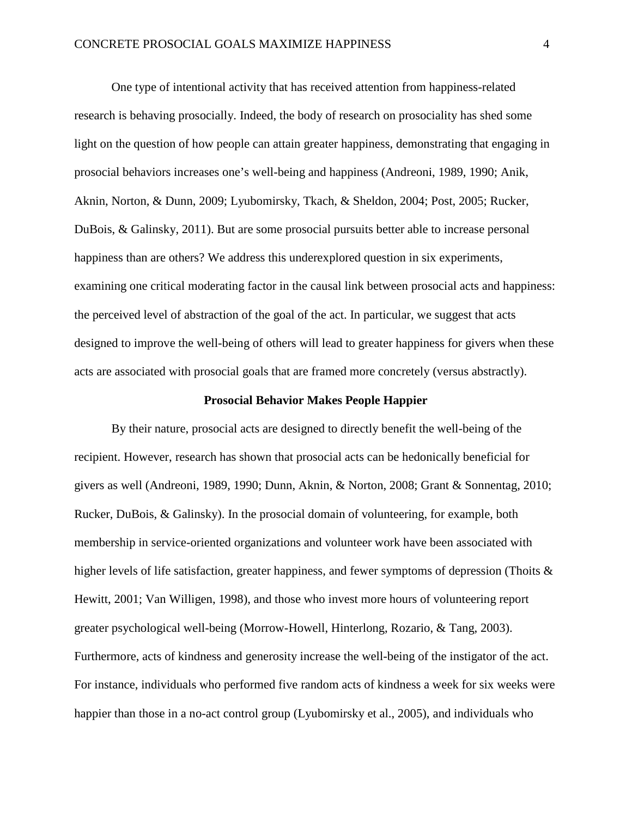One type of intentional activity that has received attention from happiness-related research is behaving prosocially. Indeed, the body of research on prosociality has shed some light on the question of how people can attain greater happiness, demonstrating that engaging in prosocial behaviors increases one's well-being and happiness (Andreoni, 1989, 1990; Anik, Aknin, Norton, & Dunn, 2009; Lyubomirsky, Tkach, & Sheldon, 2004; Post, 2005; Rucker, DuBois, & Galinsky, 2011). But are some prosocial pursuits better able to increase personal happiness than are others? We address this underexplored question in six experiments, examining one critical moderating factor in the causal link between prosocial acts and happiness: the perceived level of abstraction of the goal of the act. In particular, we suggest that acts designed to improve the well-being of others will lead to greater happiness for givers when these acts are associated with prosocial goals that are framed more concretely (versus abstractly).

#### **Prosocial Behavior Makes People Happier**

By their nature, prosocial acts are designed to directly benefit the well-being of the recipient. However, research has shown that prosocial acts can be hedonically beneficial for givers as well (Andreoni, 1989, 1990; Dunn, Aknin, & Norton, 2008; Grant & Sonnentag, 2010; Rucker, DuBois, & Galinsky). In the prosocial domain of volunteering, for example, both membership in service-oriented organizations and volunteer work have been associated with higher levels of life satisfaction, greater happiness, and fewer symptoms of depression (Thoits & Hewitt, 2001; Van Willigen, 1998), and those who invest more hours of volunteering report greater psychological well-being (Morrow-Howell, Hinterlong, Rozario, & Tang, 2003). Furthermore, acts of kindness and generosity increase the well-being of the instigator of the act. For instance, individuals who performed five random acts of kindness a week for six weeks were happier than those in a no-act control group (Lyubomirsky et al., 2005), and individuals who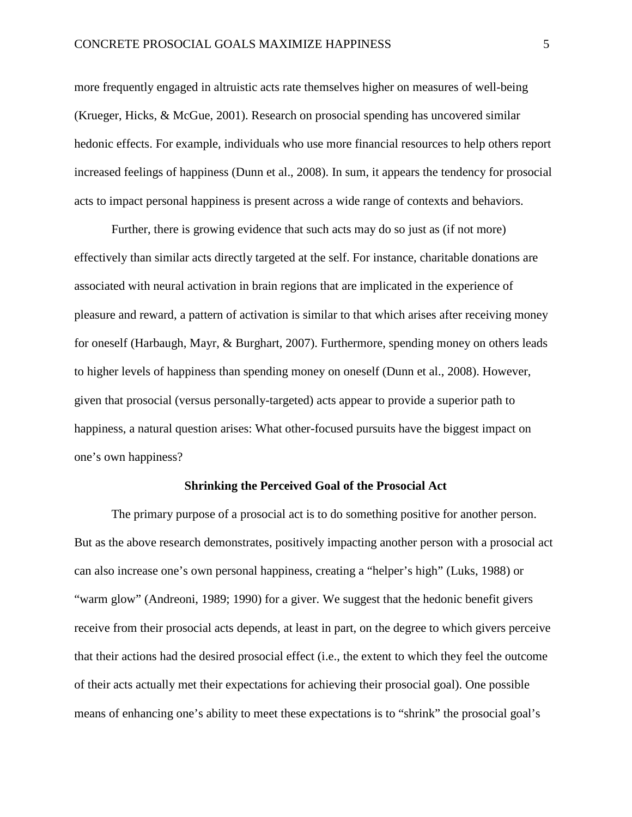more frequently engaged in altruistic acts rate themselves higher on measures of well-being (Krueger, Hicks, & McGue, 2001). Research on prosocial spending has uncovered similar hedonic effects. For example, individuals who use more financial resources to help others report increased feelings of happiness (Dunn et al., 2008). In sum, it appears the tendency for prosocial acts to impact personal happiness is present across a wide range of contexts and behaviors.

Further, there is growing evidence that such acts may do so just as (if not more) effectively than similar acts directly targeted at the self. For instance, charitable donations are associated with neural activation in brain regions that are implicated in the experience of pleasure and reward, a pattern of activation is similar to that which arises after receiving money for oneself (Harbaugh, Mayr, & Burghart, 2007). Furthermore, spending money on others leads to higher levels of happiness than spending money on oneself (Dunn et al., 2008). However, given that prosocial (versus personally-targeted) acts appear to provide a superior path to happiness, a natural question arises: What other-focused pursuits have the biggest impact on one's own happiness?

### **Shrinking the Perceived Goal of the Prosocial Act**

The primary purpose of a prosocial act is to do something positive for another person. But as the above research demonstrates, positively impacting another person with a prosocial act can also increase one's own personal happiness, creating a "helper's high" (Luks, 1988) or "warm glow" (Andreoni, 1989; 1990) for a giver. We suggest that the hedonic benefit givers receive from their prosocial acts depends, at least in part, on the degree to which givers perceive that their actions had the desired prosocial effect (i.e., the extent to which they feel the outcome of their acts actually met their expectations for achieving their prosocial goal). One possible means of enhancing one's ability to meet these expectations is to "shrink" the prosocial goal's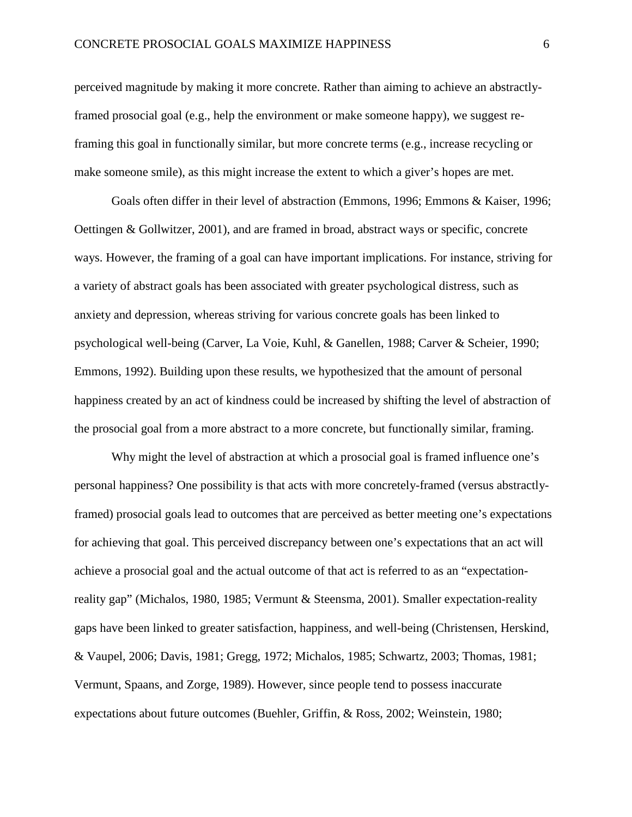perceived magnitude by making it more concrete. Rather than aiming to achieve an abstractlyframed prosocial goal (e.g., help the environment or make someone happy), we suggest reframing this goal in functionally similar, but more concrete terms (e.g., increase recycling or make someone smile), as this might increase the extent to which a giver's hopes are met.

Goals often differ in their level of abstraction (Emmons, 1996; Emmons & Kaiser, 1996; Oettingen & Gollwitzer, 2001), and are framed in broad, abstract ways or specific, concrete ways. However, the framing of a goal can have important implications. For instance, striving for a variety of abstract goals has been associated with greater psychological distress, such as anxiety and depression, whereas striving for various concrete goals has been linked to psychological well-being (Carver, La Voie, Kuhl, & Ganellen, 1988; Carver & Scheier, 1990; Emmons, 1992). Building upon these results, we hypothesized that the amount of personal happiness created by an act of kindness could be increased by shifting the level of abstraction of the prosocial goal from a more abstract to a more concrete, but functionally similar, framing.

Why might the level of abstraction at which a prosocial goal is framed influence one's personal happiness? One possibility is that acts with more concretely-framed (versus abstractlyframed) prosocial goals lead to outcomes that are perceived as better meeting one's expectations for achieving that goal. This perceived discrepancy between one's expectations that an act will achieve a prosocial goal and the actual outcome of that act is referred to as an "expectationreality gap" (Michalos, 1980, 1985; Vermunt & Steensma, 2001). Smaller expectation-reality gaps have been linked to greater satisfaction, happiness, and well-being (Christensen, Herskind, & Vaupel, 2006; Davis, 1981; Gregg, 1972; Michalos, 1985; Schwartz, 2003; Thomas, 1981; Vermunt, Spaans, and Zorge, 1989). However, since people tend to possess inaccurate expectations about future outcomes (Buehler, Griffin, & Ross, 2002; Weinstein, 1980;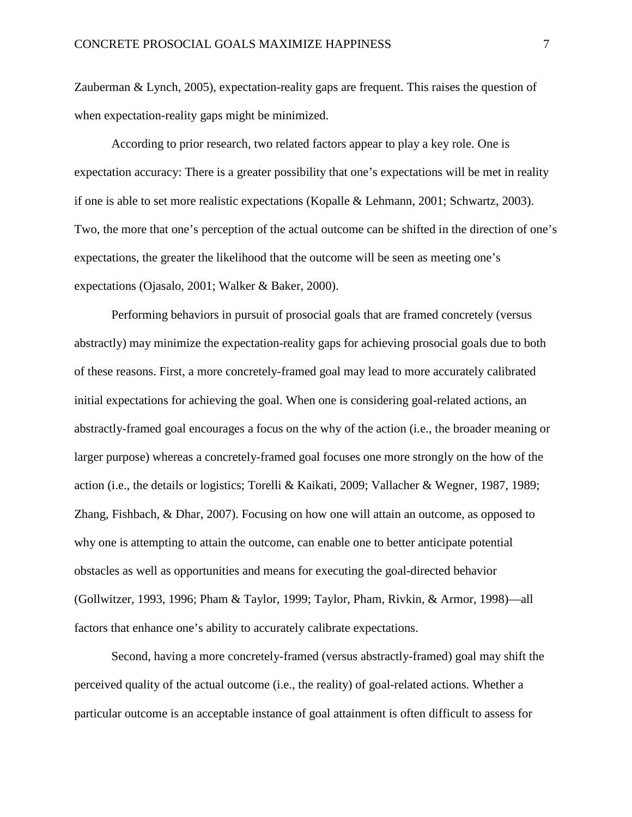Zauberman & Lynch, 2005), expectation-reality gaps are frequent. This raises the question of when expectation-reality gaps might be minimized.

According to prior research, two related factors appear to play a key role. One is expectation accuracy: There is a greater possibility that one's expectations will be met in reality if one is able to set more realistic expectations (Kopalle & Lehmann, 2001; Schwartz, 2003). Two, the more that one's perception of the actual outcome can be shifted in the direction of one's expectations, the greater the likelihood that the outcome will be seen as meeting one's expectations (Ojasalo, 2001; Walker & Baker, 2000).

Performing behaviors in pursuit of prosocial goals that are framed concretely (versus abstractly) may minimize the expectation-reality gaps for achieving prosocial goals due to both of these reasons. First, a more concretely-framed goal may lead to more accurately calibrated initial expectations for achieving the goal. When one is considering goal-related actions, an abstractly-framed goal encourages a focus on the why of the action (i.e., the broader meaning or larger purpose) whereas a concretely-framed goal focuses one more strongly on the how of the action (i.e., the details or logistics; Torelli & Kaikati, 2009; Vallacher & Wegner, 1987, 1989; Zhang, Fishbach, & Dhar, 2007). Focusing on how one will attain an outcome, as opposed to why one is attempting to attain the outcome, can enable one to better anticipate potential obstacles as well as opportunities and means for executing the goal-directed behavior (Gollwitzer, 1993, 1996; Pham & Taylor, 1999; Taylor, Pham, Rivkin, & Armor, 1998)—all factors that enhance one's ability to accurately calibrate expectations.

Second, having a more concretely-framed (versus abstractly-framed) goal may shift the perceived quality of the actual outcome (i.e., the reality) of goal-related actions. Whether a particular outcome is an acceptable instance of goal attainment is often difficult to assess for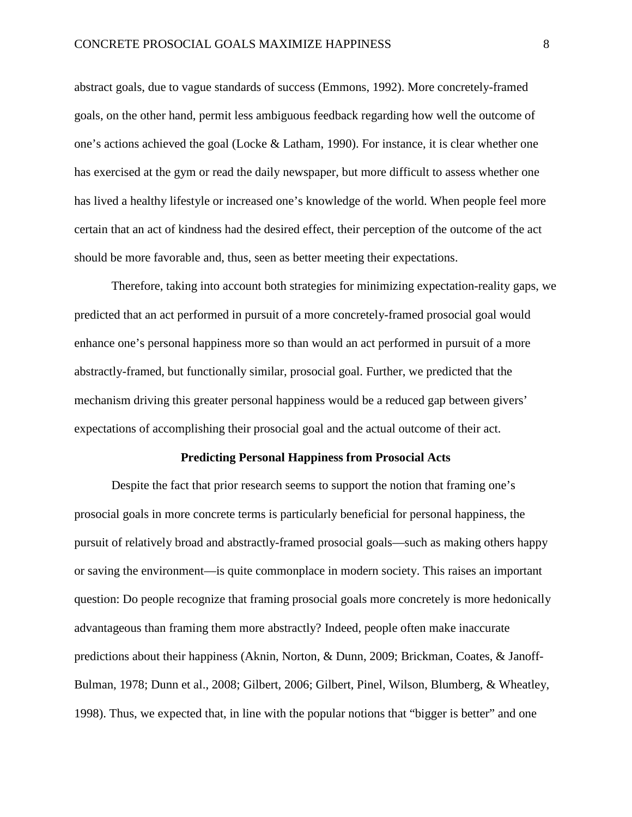abstract goals, due to vague standards of success (Emmons, 1992). More concretely-framed goals, on the other hand, permit less ambiguous feedback regarding how well the outcome of one's actions achieved the goal (Locke & Latham, 1990). For instance, it is clear whether one has exercised at the gym or read the daily newspaper, but more difficult to assess whether one has lived a healthy lifestyle or increased one's knowledge of the world. When people feel more certain that an act of kindness had the desired effect, their perception of the outcome of the act should be more favorable and, thus, seen as better meeting their expectations.

Therefore, taking into account both strategies for minimizing expectation-reality gaps, we predicted that an act performed in pursuit of a more concretely-framed prosocial goal would enhance one's personal happiness more so than would an act performed in pursuit of a more abstractly-framed, but functionally similar, prosocial goal. Further, we predicted that the mechanism driving this greater personal happiness would be a reduced gap between givers' expectations of accomplishing their prosocial goal and the actual outcome of their act.

#### **Predicting Personal Happiness from Prosocial Acts**

Despite the fact that prior research seems to support the notion that framing one's prosocial goals in more concrete terms is particularly beneficial for personal happiness, the pursuit of relatively broad and abstractly-framed prosocial goals—such as making others happy or saving the environment—is quite commonplace in modern society. This raises an important question: Do people recognize that framing prosocial goals more concretely is more hedonically advantageous than framing them more abstractly? Indeed, people often make inaccurate predictions about their happiness (Aknin, Norton, & Dunn, 2009; Brickman, Coates, & Janoff-Bulman, 1978; Dunn et al., 2008; Gilbert, 2006; Gilbert, Pinel, Wilson, Blumberg, & Wheatley, 1998). Thus, we expected that, in line with the popular notions that "bigger is better" and one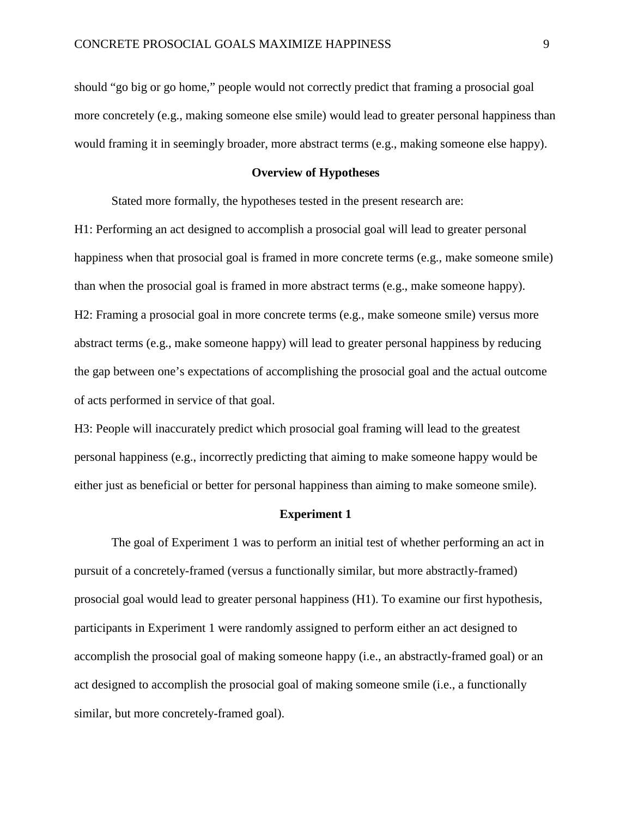should "go big or go home," people would not correctly predict that framing a prosocial goal more concretely (e.g., making someone else smile) would lead to greater personal happiness than would framing it in seemingly broader, more abstract terms (e.g., making someone else happy).

# **Overview of Hypotheses**

Stated more formally, the hypotheses tested in the present research are:

H1: Performing an act designed to accomplish a prosocial goal will lead to greater personal happiness when that prosocial goal is framed in more concrete terms (e.g., make someone smile) than when the prosocial goal is framed in more abstract terms (e.g., make someone happy). H2: Framing a prosocial goal in more concrete terms (e.g., make someone smile) versus more abstract terms (e.g., make someone happy) will lead to greater personal happiness by reducing the gap between one's expectations of accomplishing the prosocial goal and the actual outcome of acts performed in service of that goal.

H3: People will inaccurately predict which prosocial goal framing will lead to the greatest personal happiness (e.g., incorrectly predicting that aiming to make someone happy would be either just as beneficial or better for personal happiness than aiming to make someone smile).

## **Experiment 1**

The goal of Experiment 1 was to perform an initial test of whether performing an act in pursuit of a concretely-framed (versus a functionally similar, but more abstractly-framed) prosocial goal would lead to greater personal happiness (H1). To examine our first hypothesis, participants in Experiment 1 were randomly assigned to perform either an act designed to accomplish the prosocial goal of making someone happy (i.e., an abstractly-framed goal) or an act designed to accomplish the prosocial goal of making someone smile (i.e., a functionally similar, but more concretely-framed goal).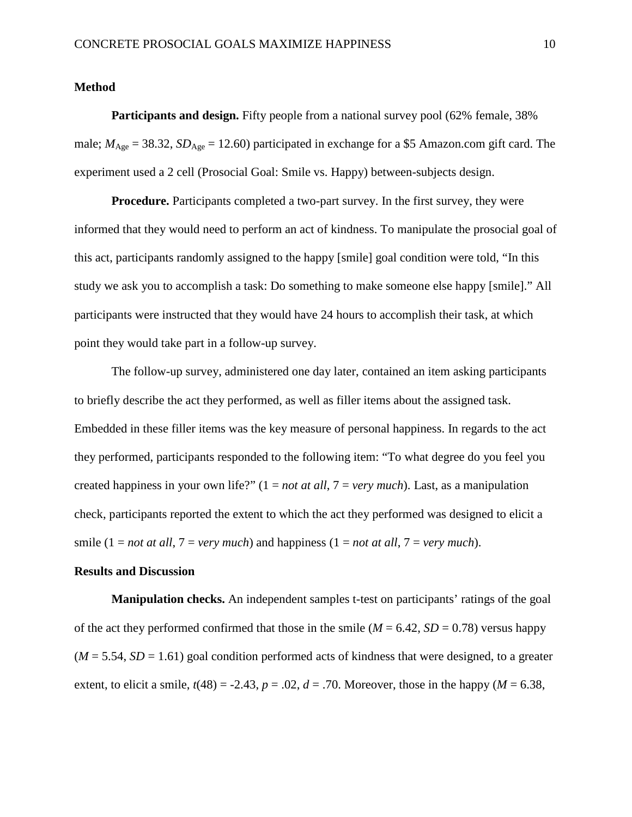### **Method**

**Participants and design.** Fifty people from a national survey pool (62% female, 38%) male;  $M_{\text{Age}} = 38.32$ ,  $SD_{\text{Age}} = 12.60$ ) participated in exchange for a \$5 Amazon.com gift card. The experiment used a 2 cell (Prosocial Goal: Smile vs. Happy) between-subjects design.

**Procedure.** Participants completed a two-part survey. In the first survey, they were informed that they would need to perform an act of kindness. To manipulate the prosocial goal of this act, participants randomly assigned to the happy [smile] goal condition were told, "In this study we ask you to accomplish a task: Do something to make someone else happy [smile]." All participants were instructed that they would have 24 hours to accomplish their task, at which point they would take part in a follow-up survey.

The follow-up survey, administered one day later, contained an item asking participants to briefly describe the act they performed, as well as filler items about the assigned task. Embedded in these filler items was the key measure of personal happiness. In regards to the act they performed, participants responded to the following item: "To what degree do you feel you created happiness in your own life?" (1 = *not at all*, 7 = *very much*). Last, as a manipulation check, participants reported the extent to which the act they performed was designed to elicit a smile  $(1 = not at all, 7 = very much)$  and happiness  $(1 = not at all, 7 = very much)$ .

# **Results and Discussion**

**Manipulation checks.** An independent samples t-test on participants' ratings of the goal of the act they performed confirmed that those in the smile ( $M = 6.42$ ,  $SD = 0.78$ ) versus happy  $(M = 5.54, SD = 1.61)$  goal condition performed acts of kindness that were designed, to a greater extent, to elicit a smile,  $t(48) = -2.43$ ,  $p = .02$ ,  $d = .70$ . Moreover, those in the happy ( $M = 6.38$ ,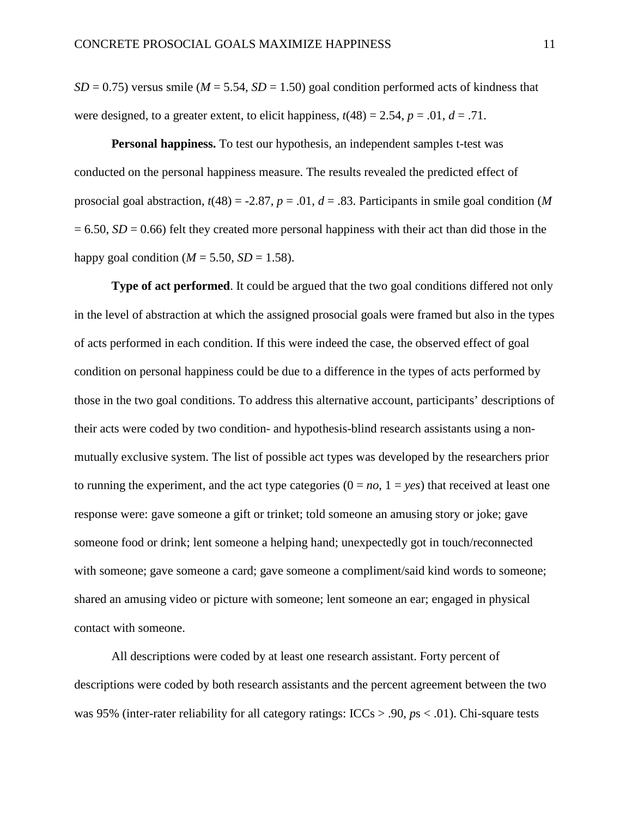$SD = 0.75$ ) versus smile ( $M = 5.54$ ,  $SD = 1.50$ ) goal condition performed acts of kindness that were designed, to a greater extent, to elicit happiness,  $t(48) = 2.54$ ,  $p = .01$ ,  $d = .71$ .

**Personal happiness.** To test our hypothesis, an independent samples t-test was conducted on the personal happiness measure. The results revealed the predicted effect of prosocial goal abstraction,  $t(48) = -2.87$ ,  $p = .01$ ,  $d = .83$ . Participants in smile goal condition (*M*  $= 6.50$ ,  $SD = 0.66$ ) felt they created more personal happiness with their act than did those in the happy goal condition ( $M = 5.50$ ,  $SD = 1.58$ ).

**Type of act performed**. It could be argued that the two goal conditions differed not only in the level of abstraction at which the assigned prosocial goals were framed but also in the types of acts performed in each condition. If this were indeed the case, the observed effect of goal condition on personal happiness could be due to a difference in the types of acts performed by those in the two goal conditions. To address this alternative account, participants' descriptions of their acts were coded by two condition- and hypothesis-blind research assistants using a nonmutually exclusive system. The list of possible act types was developed by the researchers prior to running the experiment, and the act type categories  $(0 = no, 1 = yes)$  that received at least one response were: gave someone a gift or trinket; told someone an amusing story or joke; gave someone food or drink; lent someone a helping hand; unexpectedly got in touch/reconnected with someone; gave someone a card; gave someone a compliment/said kind words to someone; shared an amusing video or picture with someone; lent someone an ear; engaged in physical contact with someone.

All descriptions were coded by at least one research assistant. Forty percent of descriptions were coded by both research assistants and the percent agreement between the two was 95% (inter-rater reliability for all category ratings: ICCs > .90, *p*s < .01). Chi-square tests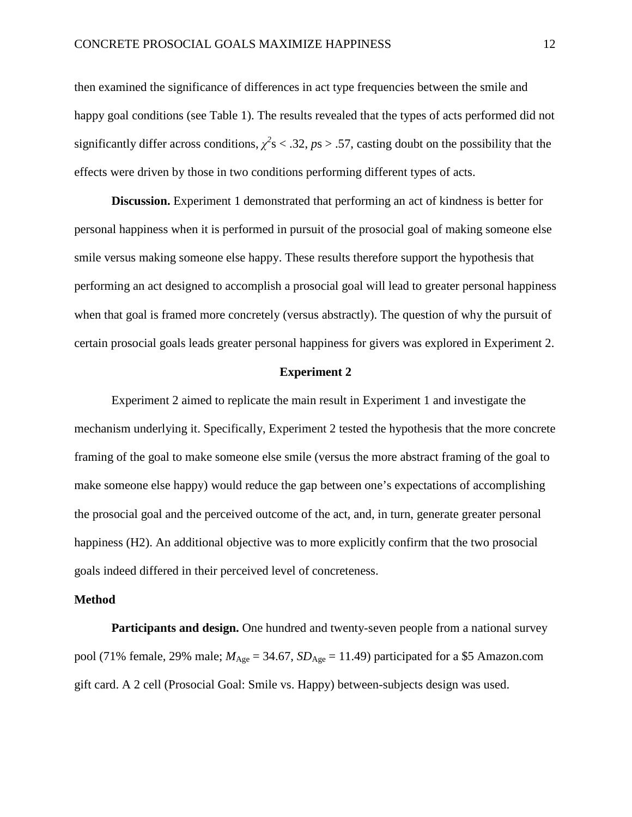then examined the significance of differences in act type frequencies between the smile and happy goal conditions (see Table 1). The results revealed that the types of acts performed did not significantly differ across conditions,  $\chi^2$ s < .32, *ps* > .57, casting doubt on the possibility that the effects were driven by those in two conditions performing different types of acts.

**Discussion.** Experiment 1 demonstrated that performing an act of kindness is better for personal happiness when it is performed in pursuit of the prosocial goal of making someone else smile versus making someone else happy. These results therefore support the hypothesis that performing an act designed to accomplish a prosocial goal will lead to greater personal happiness when that goal is framed more concretely (versus abstractly). The question of why the pursuit of certain prosocial goals leads greater personal happiness for givers was explored in Experiment 2.

# **Experiment 2**

Experiment 2 aimed to replicate the main result in Experiment 1 and investigate the mechanism underlying it. Specifically, Experiment 2 tested the hypothesis that the more concrete framing of the goal to make someone else smile (versus the more abstract framing of the goal to make someone else happy) would reduce the gap between one's expectations of accomplishing the prosocial goal and the perceived outcome of the act, and, in turn, generate greater personal happiness (H2). An additional objective was to more explicitly confirm that the two prosocial goals indeed differed in their perceived level of concreteness.

#### **Method**

Participants and design. One hundred and twenty-seven people from a national survey pool (71% female, 29% male;  $M_{\text{Age}} = 34.67$ ,  $SD_{\text{Age}} = 11.49$ ) participated for a \$5 Amazon.com gift card. A 2 cell (Prosocial Goal: Smile vs. Happy) between-subjects design was used.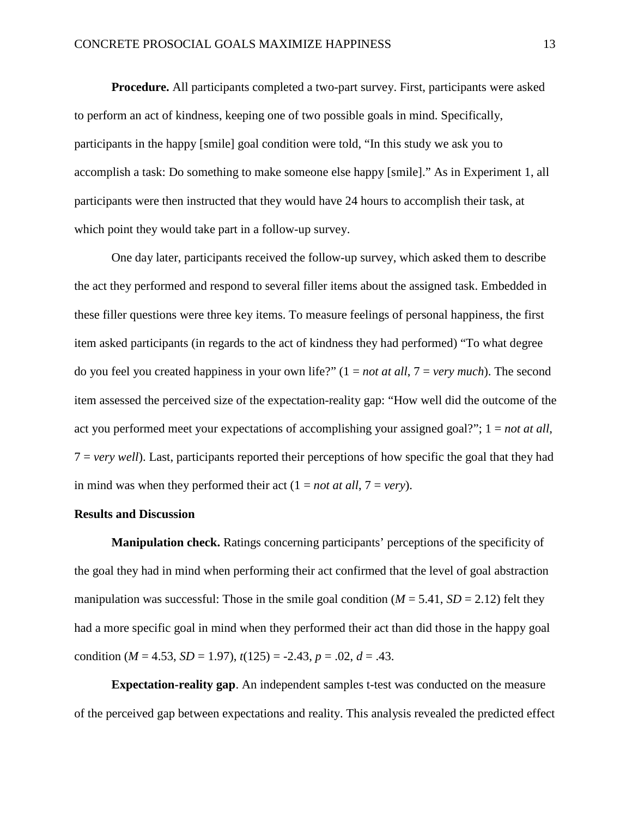**Procedure.** All participants completed a two-part survey. First, participants were asked to perform an act of kindness, keeping one of two possible goals in mind. Specifically, participants in the happy [smile] goal condition were told, "In this study we ask you to accomplish a task: Do something to make someone else happy [smile]." As in Experiment 1, all participants were then instructed that they would have 24 hours to accomplish their task, at which point they would take part in a follow-up survey.

One day later, participants received the follow-up survey, which asked them to describe the act they performed and respond to several filler items about the assigned task. Embedded in these filler questions were three key items. To measure feelings of personal happiness, the first item asked participants (in regards to the act of kindness they had performed) "To what degree do you feel you created happiness in your own life?" (1 = *not at all*, 7 = *very much*). The second item assessed the perceived size of the expectation-reality gap: "How well did the outcome of the act you performed meet your expectations of accomplishing your assigned goal?"; 1 = *not at all*, 7 = *very well*). Last, participants reported their perceptions of how specific the goal that they had in mind was when they performed their act  $(1 = not at all, 7 = very)$ .

## **Results and Discussion**

**Manipulation check.** Ratings concerning participants' perceptions of the specificity of the goal they had in mind when performing their act confirmed that the level of goal abstraction manipulation was successful: Those in the smile goal condition  $(M = 5.41, SD = 2.12)$  felt they had a more specific goal in mind when they performed their act than did those in the happy goal condition ( $M = 4.53$ ,  $SD = 1.97$ ),  $t(125) = -2.43$ ,  $p = .02$ ,  $d = .43$ .

**Expectation-reality gap**. An independent samples t-test was conducted on the measure of the perceived gap between expectations and reality. This analysis revealed the predicted effect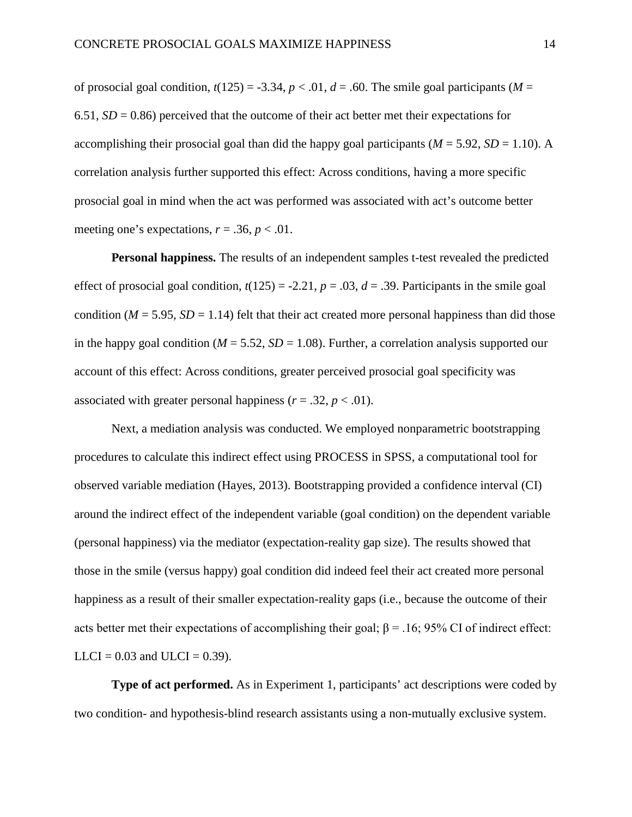of prosocial goal condition,  $t(125) = -3.34$ ,  $p < .01$ ,  $d = .60$ . The smile goal participants (*M* = 6.51,  $SD = 0.86$ ) perceived that the outcome of their act better met their expectations for accomplishing their prosocial goal than did the happy goal participants ( $M = 5.92$ ,  $SD = 1.10$ ). A correlation analysis further supported this effect: Across conditions, having a more specific prosocial goal in mind when the act was performed was associated with act's outcome better meeting one's expectations,  $r = .36$ ,  $p < .01$ .

**Personal happiness.** The results of an independent samples t-test revealed the predicted effect of prosocial goal condition,  $t(125) = -2.21$ ,  $p = .03$ ,  $d = .39$ . Participants in the smile goal condition ( $M = 5.95$ ,  $SD = 1.14$ ) felt that their act created more personal happiness than did those in the happy goal condition ( $M = 5.52$ ,  $SD = 1.08$ ). Further, a correlation analysis supported our account of this effect: Across conditions, greater perceived prosocial goal specificity was associated with greater personal happiness  $(r = .32, p < .01)$ .

Next, a mediation analysis was conducted. We employed nonparametric bootstrapping procedures to calculate this indirect effect using PROCESS in SPSS, a computational tool for observed variable mediation (Hayes, 2013). Bootstrapping provided a confidence interval (CI) around the indirect effect of the independent variable (goal condition) on the dependent variable (personal happiness) via the mediator (expectation-reality gap size). The results showed that those in the smile (versus happy) goal condition did indeed feel their act created more personal happiness as a result of their smaller expectation-reality gaps (i.e., because the outcome of their acts better met their expectations of accomplishing their goal;  $\beta$  = .16; 95% CI of indirect effect:  $LLCI = 0.03$  and  $ULCI = 0.39$ ).

**Type of act performed.** As in Experiment 1, participants' act descriptions were coded by two condition- and hypothesis-blind research assistants using a non-mutually exclusive system.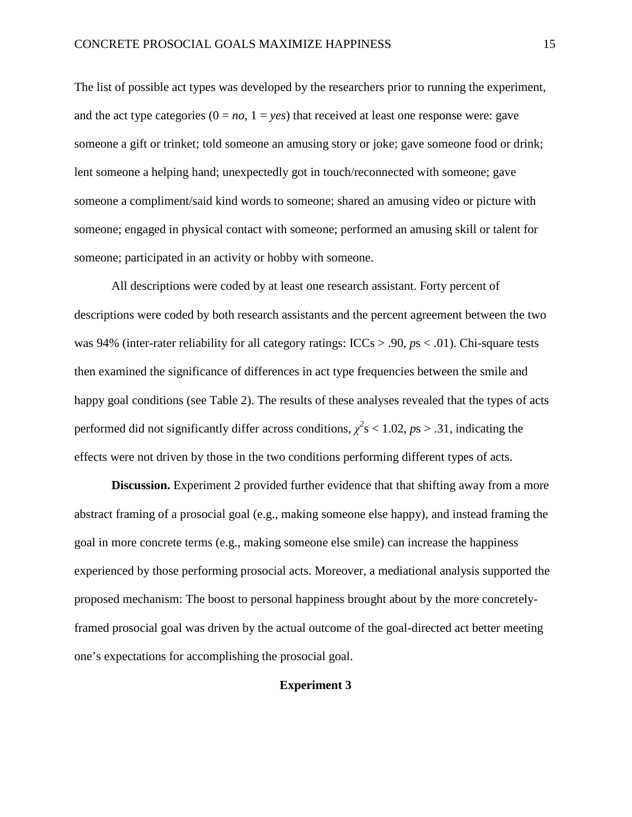The list of possible act types was developed by the researchers prior to running the experiment, and the act type categories  $(0 = no, 1 = yes)$  that received at least one response were: gave someone a gift or trinket; told someone an amusing story or joke; gave someone food or drink; lent someone a helping hand; unexpectedly got in touch/reconnected with someone; gave someone a compliment/said kind words to someone; shared an amusing video or picture with someone; engaged in physical contact with someone; performed an amusing skill or talent for someone; participated in an activity or hobby with someone.

All descriptions were coded by at least one research assistant. Forty percent of descriptions were coded by both research assistants and the percent agreement between the two was 94% (inter-rater reliability for all category ratings: ICCs > .90, *p*s < .01). Chi-square tests then examined the significance of differences in act type frequencies between the smile and happy goal conditions (see Table 2). The results of these analyses revealed that the types of acts performed did not significantly differ across conditions,  $\chi^2$ s < 1.02, *ps* > .31, indicating the effects were not driven by those in the two conditions performing different types of acts.

**Discussion.** Experiment 2 provided further evidence that that shifting away from a more abstract framing of a prosocial goal (e.g., making someone else happy), and instead framing the goal in more concrete terms (e.g., making someone else smile) can increase the happiness experienced by those performing prosocial acts. Moreover, a mediational analysis supported the proposed mechanism: The boost to personal happiness brought about by the more concretelyframed prosocial goal was driven by the actual outcome of the goal-directed act better meeting one's expectations for accomplishing the prosocial goal.

# **Experiment 3**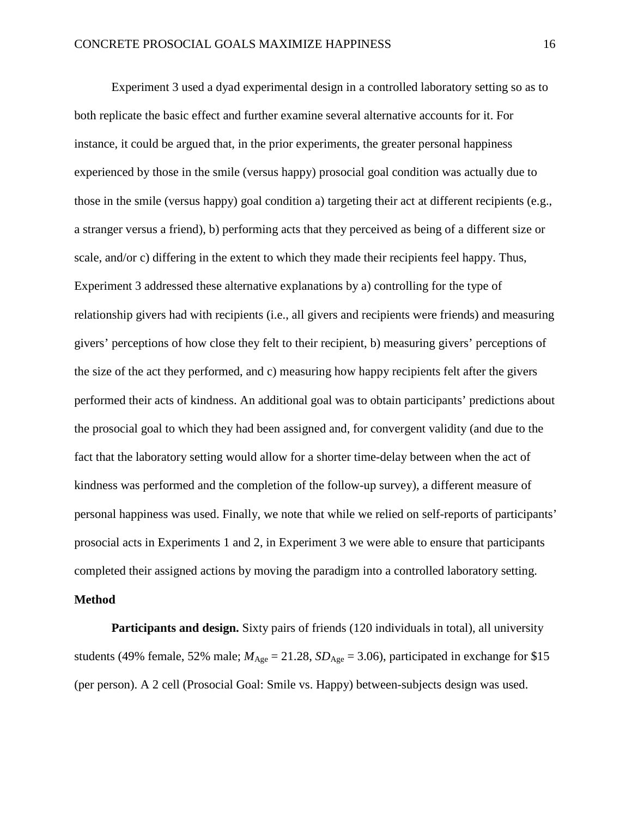Experiment 3 used a dyad experimental design in a controlled laboratory setting so as to both replicate the basic effect and further examine several alternative accounts for it. For instance, it could be argued that, in the prior experiments, the greater personal happiness experienced by those in the smile (versus happy) prosocial goal condition was actually due to those in the smile (versus happy) goal condition a) targeting their act at different recipients (e.g., a stranger versus a friend), b) performing acts that they perceived as being of a different size or scale, and/or c) differing in the extent to which they made their recipients feel happy. Thus, Experiment 3 addressed these alternative explanations by a) controlling for the type of relationship givers had with recipients (i.e., all givers and recipients were friends) and measuring givers' perceptions of how close they felt to their recipient, b) measuring givers' perceptions of the size of the act they performed, and c) measuring how happy recipients felt after the givers performed their acts of kindness. An additional goal was to obtain participants' predictions about the prosocial goal to which they had been assigned and, for convergent validity (and due to the fact that the laboratory setting would allow for a shorter time-delay between when the act of kindness was performed and the completion of the follow-up survey), a different measure of personal happiness was used. Finally, we note that while we relied on self-reports of participants' prosocial acts in Experiments 1 and 2, in Experiment 3 we were able to ensure that participants completed their assigned actions by moving the paradigm into a controlled laboratory setting.

#### **Method**

**Participants and design.** Sixty pairs of friends (120 individuals in total), all university students (49% female, 52% male;  $M_{\text{Age}} = 21.28$ ,  $SD_{\text{Age}} = 3.06$ ), participated in exchange for \$15 (per person). A 2 cell (Prosocial Goal: Smile vs. Happy) between-subjects design was used.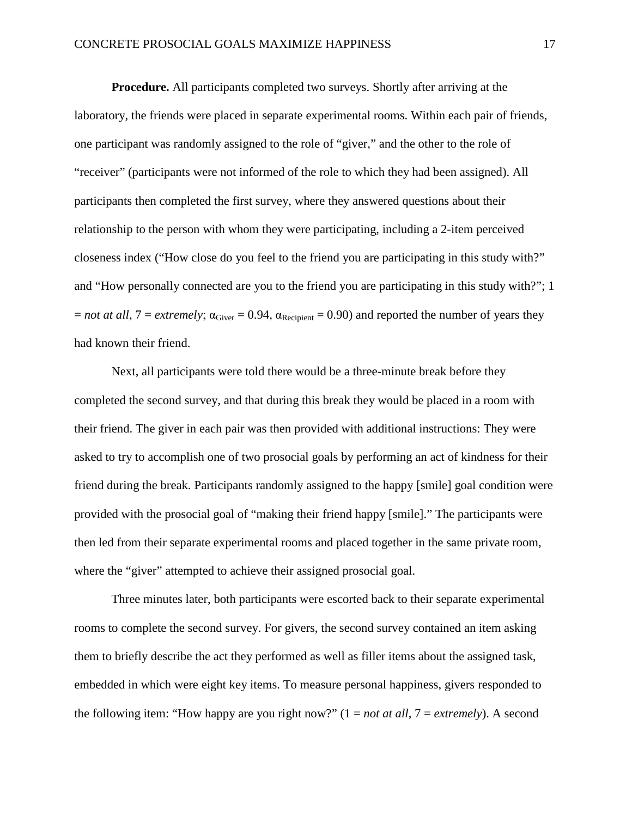**Procedure.** All participants completed two surveys. Shortly after arriving at the laboratory, the friends were placed in separate experimental rooms. Within each pair of friends, one participant was randomly assigned to the role of "giver," and the other to the role of "receiver" (participants were not informed of the role to which they had been assigned). All participants then completed the first survey, where they answered questions about their relationship to the person with whom they were participating, including a 2-item perceived closeness index ("How close do you feel to the friend you are participating in this study with?" and "How personally connected are you to the friend you are participating in this study with?"; 1  $=$  *not at all*,  $7 =$  *extremely*;  $\alpha_{\text{Given}} = 0.94$ ,  $\alpha_{\text{Recipient}} = 0.90$  and reported the number of years they had known their friend.

Next, all participants were told there would be a three-minute break before they completed the second survey, and that during this break they would be placed in a room with their friend. The giver in each pair was then provided with additional instructions: They were asked to try to accomplish one of two prosocial goals by performing an act of kindness for their friend during the break. Participants randomly assigned to the happy [smile] goal condition were provided with the prosocial goal of "making their friend happy [smile]." The participants were then led from their separate experimental rooms and placed together in the same private room, where the "giver" attempted to achieve their assigned prosocial goal.

Three minutes later, both participants were escorted back to their separate experimental rooms to complete the second survey. For givers, the second survey contained an item asking them to briefly describe the act they performed as well as filler items about the assigned task, embedded in which were eight key items. To measure personal happiness, givers responded to the following item: "How happy are you right now?" (1 = *not at all*, 7 = *extremely*). A second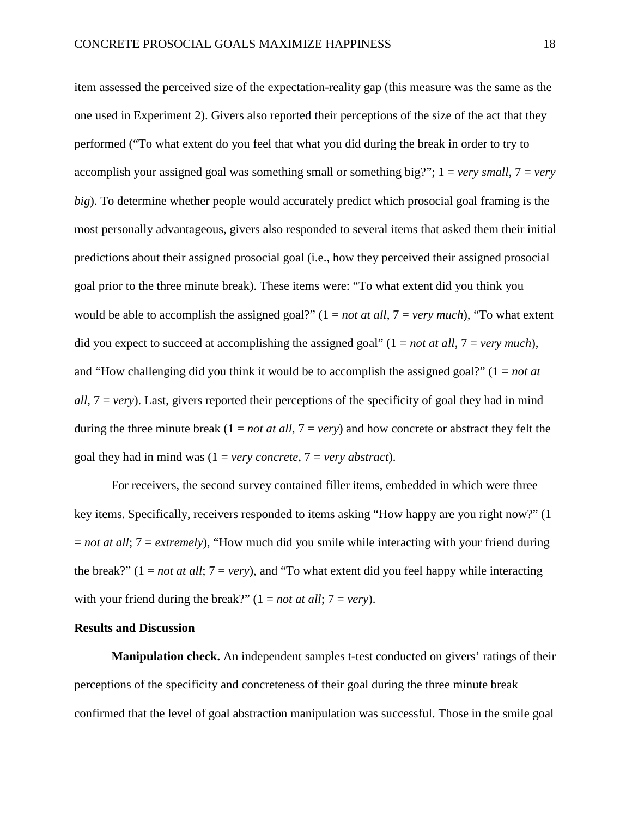item assessed the perceived size of the expectation-reality gap (this measure was the same as the one used in Experiment 2). Givers also reported their perceptions of the size of the act that they performed ("To what extent do you feel that what you did during the break in order to try to accomplish your assigned goal was something small or something big?"; 1 = *very small*, 7 = *very big*). To determine whether people would accurately predict which prosocial goal framing is the most personally advantageous, givers also responded to several items that asked them their initial predictions about their assigned prosocial goal (i.e., how they perceived their assigned prosocial goal prior to the three minute break). These items were: "To what extent did you think you would be able to accomplish the assigned goal?" (1 = *not at all*, 7 = *very much*), "To what extent did you expect to succeed at accomplishing the assigned goal" (1 = *not at all*, 7 = *very much*), and "How challenging did you think it would be to accomplish the assigned goal?" (1 = *not at all*, 7 = *very*). Last, givers reported their perceptions of the specificity of goal they had in mind during the three minute break  $(1 = not at all, 7 = very)$  and how concrete or abstract they felt the goal they had in mind was  $(1 = \text{very concrete}, 7 = \text{very abstract}).$ 

For receivers, the second survey contained filler items, embedded in which were three key items. Specifically, receivers responded to items asking "How happy are you right now?" (1 = *not at all*; 7 = *extremely*), "How much did you smile while interacting with your friend during the break?"  $(1 = not at all; 7 = very)$ , and "To what extent did you feel happy while interacting with your friend during the break?"  $(1 = not at all; 7 = very)$ .

# **Results and Discussion**

**Manipulation check.** An independent samples t-test conducted on givers' ratings of their perceptions of the specificity and concreteness of their goal during the three minute break confirmed that the level of goal abstraction manipulation was successful. Those in the smile goal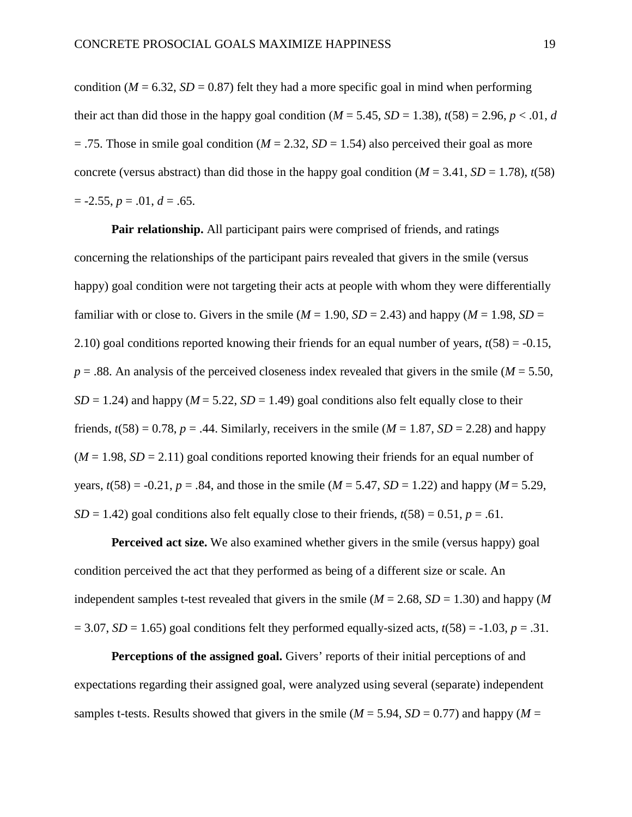condition ( $M = 6.32$ ,  $SD = 0.87$ ) felt they had a more specific goal in mind when performing their act than did those in the happy goal condition  $(M = 5.45, SD = 1.38)$ ,  $t(58) = 2.96, p < .01, d$  $= .75$ . Those in smile goal condition ( $M = 2.32$ ,  $SD = 1.54$ ) also perceived their goal as more concrete (versus abstract) than did those in the happy goal condition ( $M = 3.41$ ,  $SD = 1.78$ ),  $t(58)$  $= -2.55, p = .01, d = .65.$ 

**Pair relationship.** All participant pairs were comprised of friends, and ratings concerning the relationships of the participant pairs revealed that givers in the smile (versus happy) goal condition were not targeting their acts at people with whom they were differentially familiar with or close to. Givers in the smile ( $M = 1.90$ ,  $SD = 2.43$ ) and happy ( $M = 1.98$ ,  $SD =$ 2.10) goal conditions reported knowing their friends for an equal number of years, *t*(58) = -0.15,  $p = .88$ . An analysis of the perceived closeness index revealed that givers in the smile ( $M = 5.50$ ,  $SD = 1.24$ ) and happy ( $M = 5.22$ ,  $SD = 1.49$ ) goal conditions also felt equally close to their friends,  $t(58) = 0.78$ ,  $p = .44$ . Similarly, receivers in the smile ( $M = 1.87$ ,  $SD = 2.28$ ) and happy  $(M = 1.98, SD = 2.11)$  goal conditions reported knowing their friends for an equal number of years,  $t(58) = -0.21$ ,  $p = .84$ , and those in the smile ( $M = 5.47$ ,  $SD = 1.22$ ) and happy ( $M = 5.29$ ,  $SD = 1.42$ ) goal conditions also felt equally close to their friends,  $t(58) = 0.51$ ,  $p = .61$ .

**Perceived act size.** We also examined whether givers in the smile (versus happy) goal condition perceived the act that they performed as being of a different size or scale. An independent samples t-test revealed that givers in the smile  $(M = 2.68, SD = 1.30)$  and happy  $(M$  $= 3.07$ , *SD* = 1.65) goal conditions felt they performed equally-sized acts,  $t(58) = -1.03$ ,  $p = .31$ .

**Perceptions of the assigned goal.** Givers' reports of their initial perceptions of and expectations regarding their assigned goal, were analyzed using several (separate) independent samples t-tests. Results showed that givers in the smile  $(M = 5.94, SD = 0.77)$  and happy  $(M = 5.94, SD = 0.77)$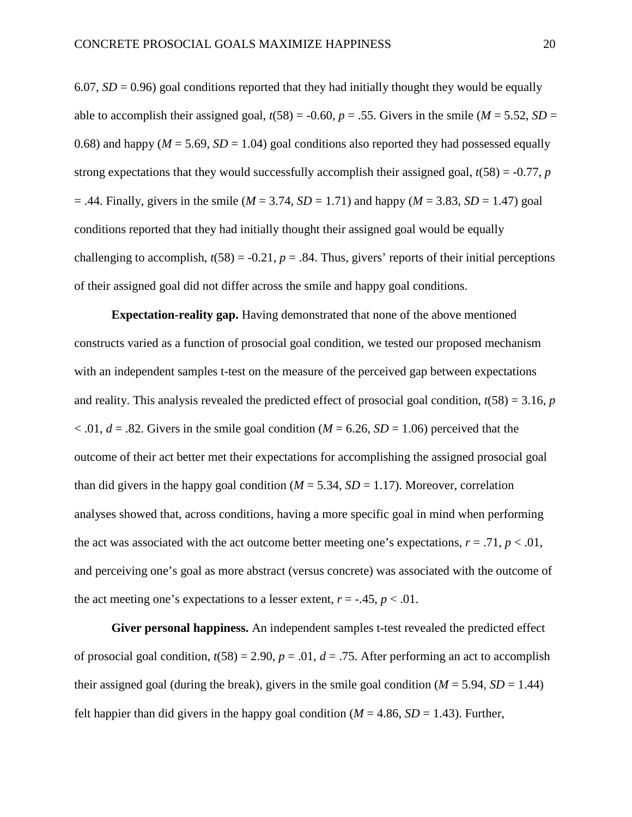6.07,  $SD = 0.96$ ) goal conditions reported that they had initially thought they would be equally able to accomplish their assigned goal,  $t(58) = -0.60$ ,  $p = .55$ . Givers in the smile ( $M = 5.52$ ,  $SD =$ 0.68) and happy ( $M = 5.69$ ,  $SD = 1.04$ ) goal conditions also reported they had possessed equally strong expectations that they would successfully accomplish their assigned goal,  $t(58) = -0.77$ , *p*  $= .44$ . Finally, givers in the smile (*M* = 3.74, *SD* = 1.71) and happy (*M* = 3.83, *SD* = 1.47) goal conditions reported that they had initially thought their assigned goal would be equally challenging to accomplish,  $t(58) = -0.21$ ,  $p = .84$ . Thus, givers' reports of their initial perceptions of their assigned goal did not differ across the smile and happy goal conditions.

**Expectation-reality gap.** Having demonstrated that none of the above mentioned constructs varied as a function of prosocial goal condition, we tested our proposed mechanism with an independent samples t-test on the measure of the perceived gap between expectations and reality. This analysis revealed the predicted effect of prosocial goal condition,  $t(58) = 3.16$ , *p*  $< .01, d = .82$ . Givers in the smile goal condition (*M* = 6.26, *SD* = 1.06) perceived that the outcome of their act better met their expectations for accomplishing the assigned prosocial goal than did givers in the happy goal condition ( $M = 5.34$ ,  $SD = 1.17$ ). Moreover, correlation analyses showed that, across conditions, having a more specific goal in mind when performing the act was associated with the act outcome better meeting one's expectations,  $r = .71$ ,  $p < .01$ , and perceiving one's goal as more abstract (versus concrete) was associated with the outcome of the act meeting one's expectations to a lesser extent,  $r = -0.45$ ,  $p < 0.01$ .

**Giver personal happiness.** An independent samples t-test revealed the predicted effect of prosocial goal condition,  $t(58) = 2.90$ ,  $p = .01$ ,  $d = .75$ . After performing an act to accomplish their assigned goal (during the break), givers in the smile goal condition ( $M = 5.94$ ,  $SD = 1.44$ ) felt happier than did givers in the happy goal condition ( $M = 4.86$ ,  $SD = 1.43$ ). Further,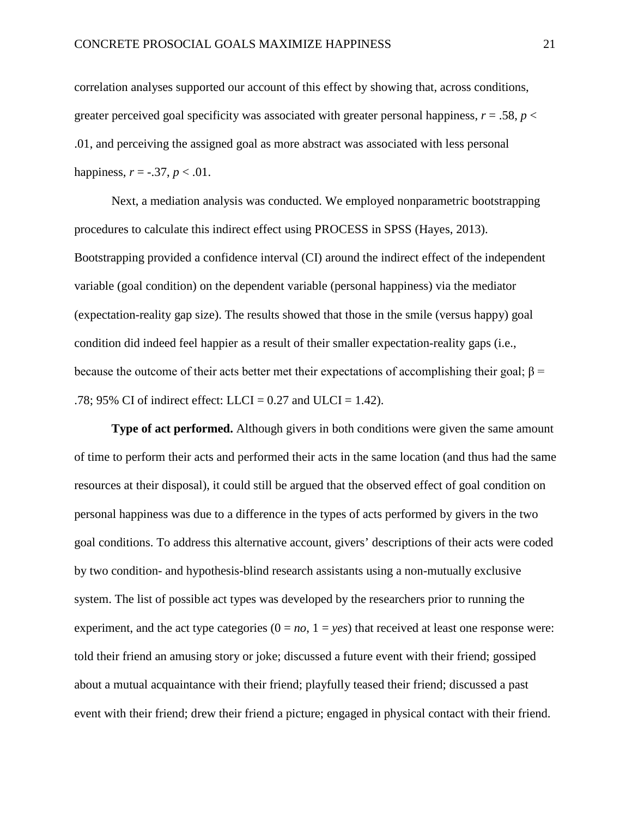correlation analyses supported our account of this effect by showing that, across conditions, greater perceived goal specificity was associated with greater personal happiness,  $r = .58$ ,  $p <$ .01, and perceiving the assigned goal as more abstract was associated with less personal happiness,  $r = -.37$ ,  $p < .01$ .

Next, a mediation analysis was conducted. We employed nonparametric bootstrapping procedures to calculate this indirect effect using PROCESS in SPSS (Hayes, 2013). Bootstrapping provided a confidence interval (CI) around the indirect effect of the independent variable (goal condition) on the dependent variable (personal happiness) via the mediator (expectation-reality gap size). The results showed that those in the smile (versus happy) goal condition did indeed feel happier as a result of their smaller expectation-reality gaps (i.e., because the outcome of their acts better met their expectations of accomplishing their goal;  $\beta$  = .78; 95% CI of indirect effect: LLCI =  $0.27$  and ULCI = 1.42).

**Type of act performed.** Although givers in both conditions were given the same amount of time to perform their acts and performed their acts in the same location (and thus had the same resources at their disposal), it could still be argued that the observed effect of goal condition on personal happiness was due to a difference in the types of acts performed by givers in the two goal conditions. To address this alternative account, givers' descriptions of their acts were coded by two condition- and hypothesis-blind research assistants using a non-mutually exclusive system. The list of possible act types was developed by the researchers prior to running the experiment, and the act type categories  $(0 = no, 1 = yes)$  that received at least one response were: told their friend an amusing story or joke; discussed a future event with their friend; gossiped about a mutual acquaintance with their friend; playfully teased their friend; discussed a past event with their friend; drew their friend a picture; engaged in physical contact with their friend.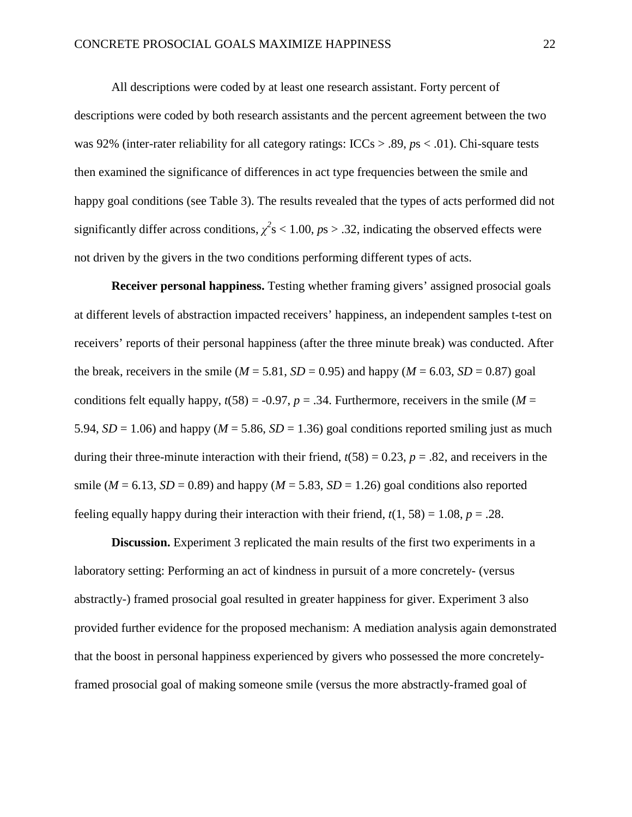All descriptions were coded by at least one research assistant. Forty percent of descriptions were coded by both research assistants and the percent agreement between the two was 92% (inter-rater reliability for all category ratings: ICCs > .89, *p*s < .01). Chi-square tests then examined the significance of differences in act type frequencies between the smile and happy goal conditions (see Table 3). The results revealed that the types of acts performed did not significantly differ across conditions,  $\chi^2$ s < 1.00, *p*s > .32, indicating the observed effects were not driven by the givers in the two conditions performing different types of acts.

**Receiver personal happiness.** Testing whether framing givers' assigned prosocial goals at different levels of abstraction impacted receivers' happiness, an independent samples t-test on receivers' reports of their personal happiness (after the three minute break) was conducted. After the break, receivers in the smile ( $M = 5.81$ ,  $SD = 0.95$ ) and happy ( $M = 6.03$ ,  $SD = 0.87$ ) goal conditions felt equally happy,  $t(58) = -0.97$ ,  $p = .34$ . Furthermore, receivers in the smile (*M* = 5.94,  $SD = 1.06$ ) and happy ( $M = 5.86$ ,  $SD = 1.36$ ) goal conditions reported smiling just as much during their three-minute interaction with their friend,  $t(58) = 0.23$ ,  $p = .82$ , and receivers in the smile ( $M = 6.13$ ,  $SD = 0.89$ ) and happy ( $M = 5.83$ ,  $SD = 1.26$ ) goal conditions also reported feeling equally happy during their interaction with their friend,  $t(1, 58) = 1.08$ ,  $p = .28$ .

**Discussion.** Experiment 3 replicated the main results of the first two experiments in a laboratory setting: Performing an act of kindness in pursuit of a more concretely- (versus abstractly-) framed prosocial goal resulted in greater happiness for giver. Experiment 3 also provided further evidence for the proposed mechanism: A mediation analysis again demonstrated that the boost in personal happiness experienced by givers who possessed the more concretelyframed prosocial goal of making someone smile (versus the more abstractly-framed goal of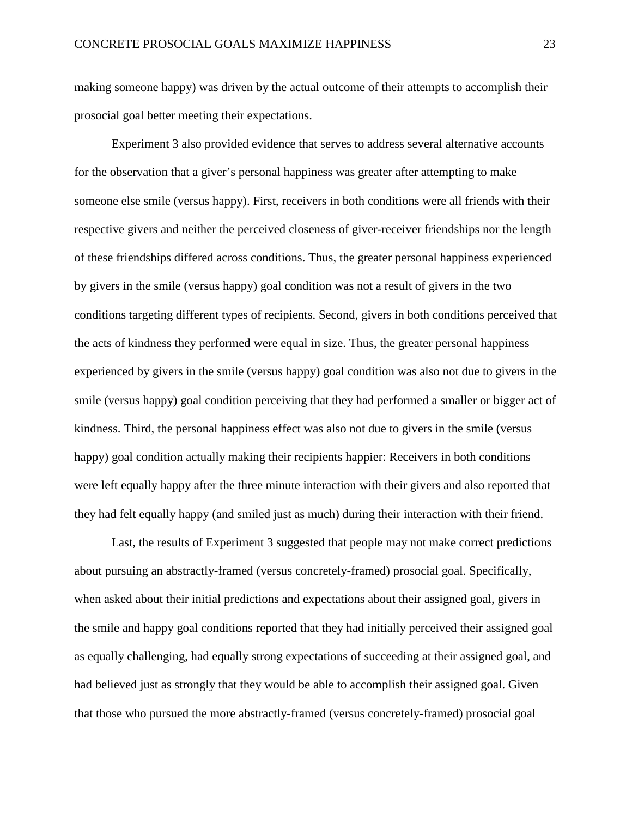making someone happy) was driven by the actual outcome of their attempts to accomplish their prosocial goal better meeting their expectations.

Experiment 3 also provided evidence that serves to address several alternative accounts for the observation that a giver's personal happiness was greater after attempting to make someone else smile (versus happy). First, receivers in both conditions were all friends with their respective givers and neither the perceived closeness of giver-receiver friendships nor the length of these friendships differed across conditions. Thus, the greater personal happiness experienced by givers in the smile (versus happy) goal condition was not a result of givers in the two conditions targeting different types of recipients. Second, givers in both conditions perceived that the acts of kindness they performed were equal in size. Thus, the greater personal happiness experienced by givers in the smile (versus happy) goal condition was also not due to givers in the smile (versus happy) goal condition perceiving that they had performed a smaller or bigger act of kindness. Third, the personal happiness effect was also not due to givers in the smile (versus happy) goal condition actually making their recipients happier: Receivers in both conditions were left equally happy after the three minute interaction with their givers and also reported that they had felt equally happy (and smiled just as much) during their interaction with their friend.

Last, the results of Experiment 3 suggested that people may not make correct predictions about pursuing an abstractly-framed (versus concretely-framed) prosocial goal. Specifically, when asked about their initial predictions and expectations about their assigned goal, givers in the smile and happy goal conditions reported that they had initially perceived their assigned goal as equally challenging, had equally strong expectations of succeeding at their assigned goal, and had believed just as strongly that they would be able to accomplish their assigned goal. Given that those who pursued the more abstractly-framed (versus concretely-framed) prosocial goal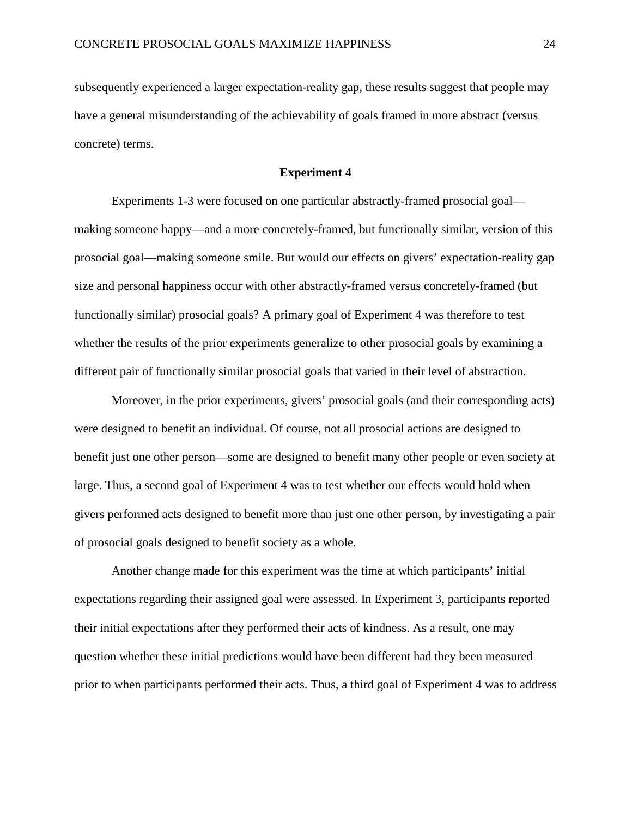subsequently experienced a larger expectation-reality gap, these results suggest that people may have a general misunderstanding of the achievability of goals framed in more abstract (versus concrete) terms.

# **Experiment 4**

Experiments 1-3 were focused on one particular abstractly-framed prosocial goal making someone happy—and a more concretely-framed, but functionally similar, version of this prosocial goal—making someone smile. But would our effects on givers' expectation-reality gap size and personal happiness occur with other abstractly-framed versus concretely-framed (but functionally similar) prosocial goals? A primary goal of Experiment 4 was therefore to test whether the results of the prior experiments generalize to other prosocial goals by examining a different pair of functionally similar prosocial goals that varied in their level of abstraction.

Moreover, in the prior experiments, givers' prosocial goals (and their corresponding acts) were designed to benefit an individual. Of course, not all prosocial actions are designed to benefit just one other person—some are designed to benefit many other people or even society at large. Thus, a second goal of Experiment 4 was to test whether our effects would hold when givers performed acts designed to benefit more than just one other person, by investigating a pair of prosocial goals designed to benefit society as a whole.

Another change made for this experiment was the time at which participants' initial expectations regarding their assigned goal were assessed. In Experiment 3, participants reported their initial expectations after they performed their acts of kindness. As a result, one may question whether these initial predictions would have been different had they been measured prior to when participants performed their acts. Thus, a third goal of Experiment 4 was to address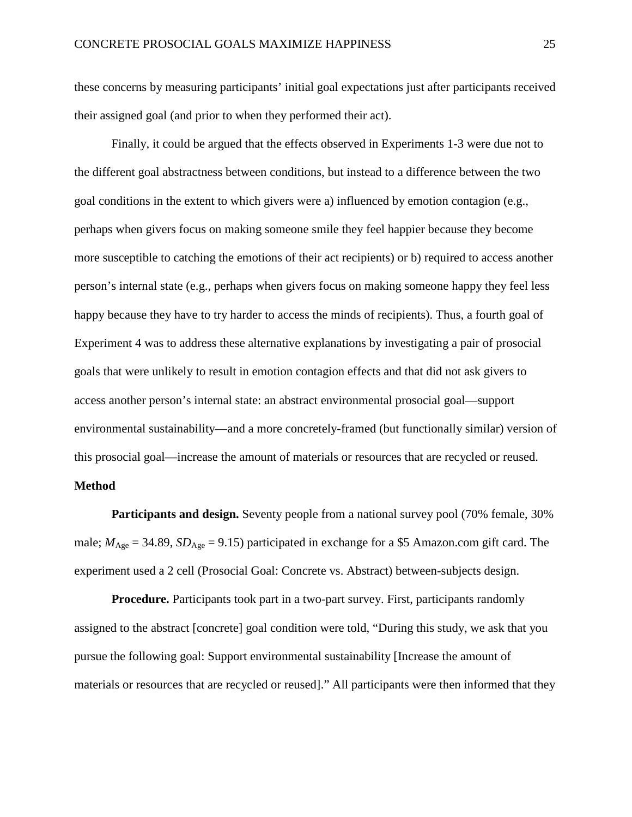these concerns by measuring participants' initial goal expectations just after participants received their assigned goal (and prior to when they performed their act).

Finally, it could be argued that the effects observed in Experiments 1-3 were due not to the different goal abstractness between conditions, but instead to a difference between the two goal conditions in the extent to which givers were a) influenced by emotion contagion (e.g., perhaps when givers focus on making someone smile they feel happier because they become more susceptible to catching the emotions of their act recipients) or b) required to access another person's internal state (e.g., perhaps when givers focus on making someone happy they feel less happy because they have to try harder to access the minds of recipients). Thus, a fourth goal of Experiment 4 was to address these alternative explanations by investigating a pair of prosocial goals that were unlikely to result in emotion contagion effects and that did not ask givers to access another person's internal state: an abstract environmental prosocial goal—support environmental sustainability—and a more concretely-framed (but functionally similar) version of this prosocial goal—increase the amount of materials or resources that are recycled or reused.

# **Method**

**Participants and design.** Seventy people from a national survey pool (70% female, 30% male;  $M_{\text{Age}} = 34.89$ ,  $SD_{\text{Age}} = 9.15$ ) participated in exchange for a \$5 Amazon.com gift card. The experiment used a 2 cell (Prosocial Goal: Concrete vs. Abstract) between-subjects design.

**Procedure.** Participants took part in a two-part survey. First, participants randomly assigned to the abstract [concrete] goal condition were told, "During this study, we ask that you pursue the following goal: Support environmental sustainability [Increase the amount of materials or resources that are recycled or reused]." All participants were then informed that they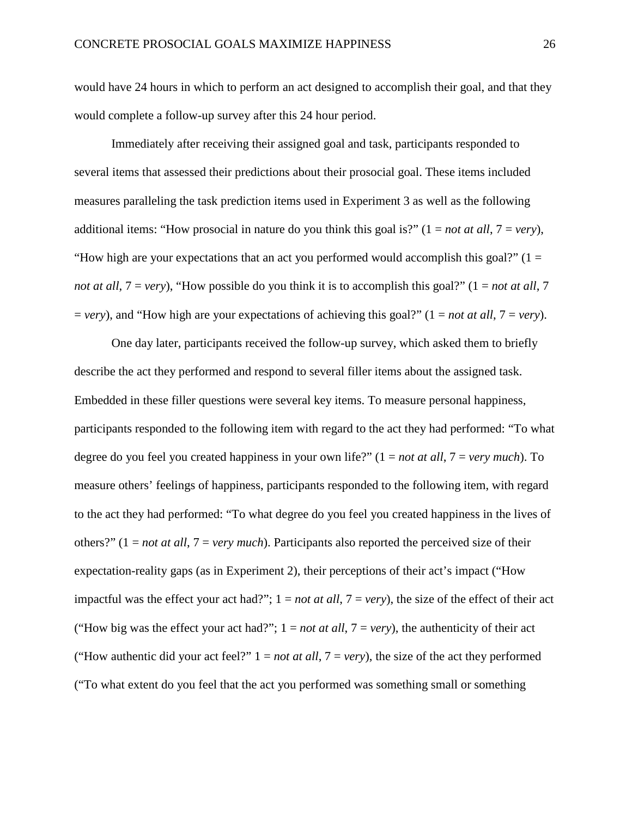would have 24 hours in which to perform an act designed to accomplish their goal, and that they would complete a follow-up survey after this 24 hour period.

Immediately after receiving their assigned goal and task, participants responded to several items that assessed their predictions about their prosocial goal. These items included measures paralleling the task prediction items used in Experiment 3 as well as the following additional items: "How prosocial in nature do you think this goal is?"  $(1 = not at all, 7 = very)$ , "How high are your expectations that an act you performed would accomplish this goal?"  $(1 =$ *not at all*,  $7 = \text{very}$ , "How possible do you think it is to accomplish this goal?" ( $1 = \text{not at all}, 7$  $=$  *very*), and "How high are your expectations of achieving this goal?" (1 = *not at all*, 7 = *very*).

One day later, participants received the follow-up survey, which asked them to briefly describe the act they performed and respond to several filler items about the assigned task. Embedded in these filler questions were several key items. To measure personal happiness, participants responded to the following item with regard to the act they had performed: "To what degree do you feel you created happiness in your own life?" (1 = *not at all*, 7 = *very much*). To measure others' feelings of happiness, participants responded to the following item, with regard to the act they had performed: "To what degree do you feel you created happiness in the lives of others?" (1 = *not at all*, 7 = *very much*). Participants also reported the perceived size of their expectation-reality gaps (as in Experiment 2), their perceptions of their act's impact ("How impactful was the effect your act had?";  $1 = not at all$ ,  $7 = very$ ), the size of the effect of their act ("How big was the effect your act had?";  $1 = not$  *at all*,  $7 = very$ ), the authenticity of their act ("How authentic did your act feel?"  $1 = not$  *at all*,  $7 = very$ ), the size of the act they performed ("To what extent do you feel that the act you performed was something small or something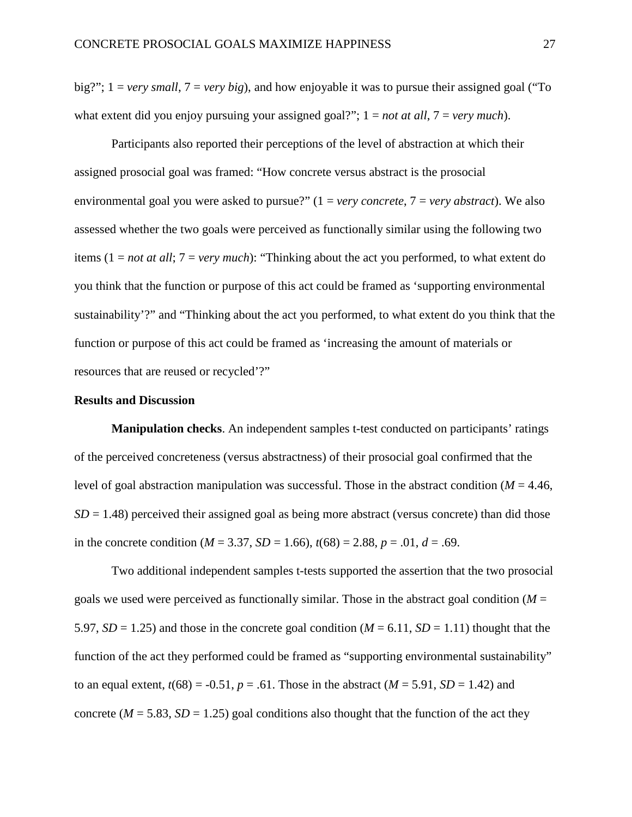big?"; 1 = *very small*, 7 = *very big*), and how enjoyable it was to pursue their assigned goal ("To what extent did you enjoy pursuing your assigned goal?";  $1 = not at all, 7 = very much$ .

Participants also reported their perceptions of the level of abstraction at which their assigned prosocial goal was framed: "How concrete versus abstract is the prosocial environmental goal you were asked to pursue?" (1 = *very concrete*, 7 = *very abstract*). We also assessed whether the two goals were perceived as functionally similar using the following two items (1 = *not at all*; 7 = *very much*): "Thinking about the act you performed, to what extent do you think that the function or purpose of this act could be framed as 'supporting environmental sustainability'?" and "Thinking about the act you performed, to what extent do you think that the function or purpose of this act could be framed as 'increasing the amount of materials or resources that are reused or recycled'?"

#### **Results and Discussion**

**Manipulation checks**. An independent samples t-test conducted on participants' ratings of the perceived concreteness (versus abstractness) of their prosocial goal confirmed that the level of goal abstraction manipulation was successful. Those in the abstract condition ( $M = 4.46$ ,  $SD = 1.48$ ) perceived their assigned goal as being more abstract (versus concrete) than did those in the concrete condition ( $M = 3.37$ ,  $SD = 1.66$ ),  $t(68) = 2.88$ ,  $p = .01$ ,  $d = .69$ .

Two additional independent samples t-tests supported the assertion that the two prosocial goals we used were perceived as functionally similar. Those in the abstract goal condition  $(M =$ 5.97,  $SD = 1.25$ ) and those in the concrete goal condition ( $M = 6.11$ ,  $SD = 1.11$ ) thought that the function of the act they performed could be framed as "supporting environmental sustainability" to an equal extent,  $t(68) = -0.51$ ,  $p = .61$ . Those in the abstract ( $M = 5.91$ ,  $SD = 1.42$ ) and concrete ( $M = 5.83$ ,  $SD = 1.25$ ) goal conditions also thought that the function of the act they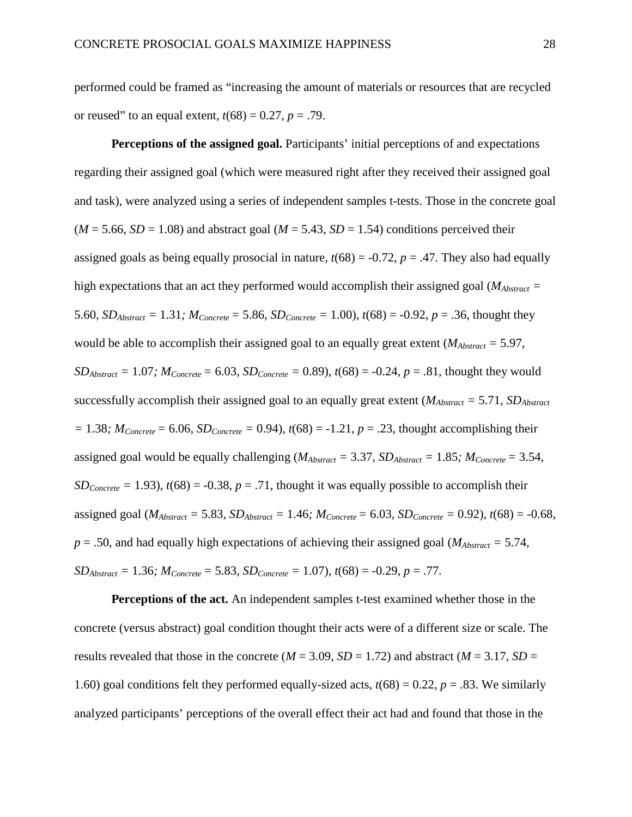performed could be framed as "increasing the amount of materials or resources that are recycled or reused" to an equal extent,  $t(68) = 0.27$ ,  $p = .79$ .

**Perceptions of the assigned goal.** Participants' initial perceptions of and expectations regarding their assigned goal (which were measured right after they received their assigned goal and task), were analyzed using a series of independent samples t-tests. Those in the concrete goal  $(M = 5.66, SD = 1.08)$  and abstract goal  $(M = 5.43, SD = 1.54)$  conditions perceived their assigned goals as being equally prosocial in nature,  $t(68) = -0.72$ ,  $p = .47$ . They also had equally high expectations that an act they performed would accomplish their assigned goal ( $M_{Abstract}$  = 5.60*, SD<sub>Abstract</sub>* = 1.31*; M<sub>Concrete</sub>* = 5.86*, SD<sub>Concrete</sub>* = 1.00*)*,  $t(68)$  = -0.92*, p* = .36*,* thought they would be able to accomplish their assigned goal to an equally great extent (*MAbstract =* 5.97*, SD<sub>Abstract</sub>* = 1.07*;*  $M_{Concrete} = 6.03$ ,  $SD_{Concrete} = 0.89$ ,  $t(68) = -0.24$ ,  $p = .81$ , thought they would successfully accomplish their assigned goal to an equally great extent ( $M_{Abstract} = 5.71$ ,  $SD_{Abstract}$  $= 1.38$ ;  $M_{Concrete} = 6.06$ ,  $SD_{Concrete} = 0.94$ ),  $t(68) = -1.21$ ,  $p = .23$ , thought accomplishing their assigned goal would be equally challenging ( $M_{Abstract} = 3.37$ ,  $SD_{Abstract} = 1.85$ ;  $M_{Correct} = 3.54$ , *SD<sub>Concrete</sub>* = 1.93),  $t(68)$  = -0.38,  $p = .71$ , thought it was equally possible to accomplish their assigned goal ( $M_{Abstract} = 5.83$ ,  $SD_{Abstract} = 1.46$ ;  $M_{Concrete} = 6.03$ ,  $SD_{Concrete} = 0.92$ ),  $t(68) = -0.68$ ,  $p = .50$ , and had equally high expectations of achieving their assigned goal ( $M_{Abstract} = 5.74$ ,  $SD_{Abstract} = 1.36$ ;  $M_{Concrete} = 5.83$ ,  $SD_{Concrete} = 1.07$ ),  $t(68) = -0.29$ ,  $p = .77$ .

**Perceptions of the act.** An independent samples t-test examined whether those in the concrete (versus abstract) goal condition thought their acts were of a different size or scale. The results revealed that those in the concrete ( $M = 3.09$ ,  $SD = 1.72$ ) and abstract ( $M = 3.17$ ,  $SD =$ 1.60) goal conditions felt they performed equally-sized acts,  $t(68) = 0.22$ ,  $p = .83$ . We similarly analyzed participants' perceptions of the overall effect their act had and found that those in the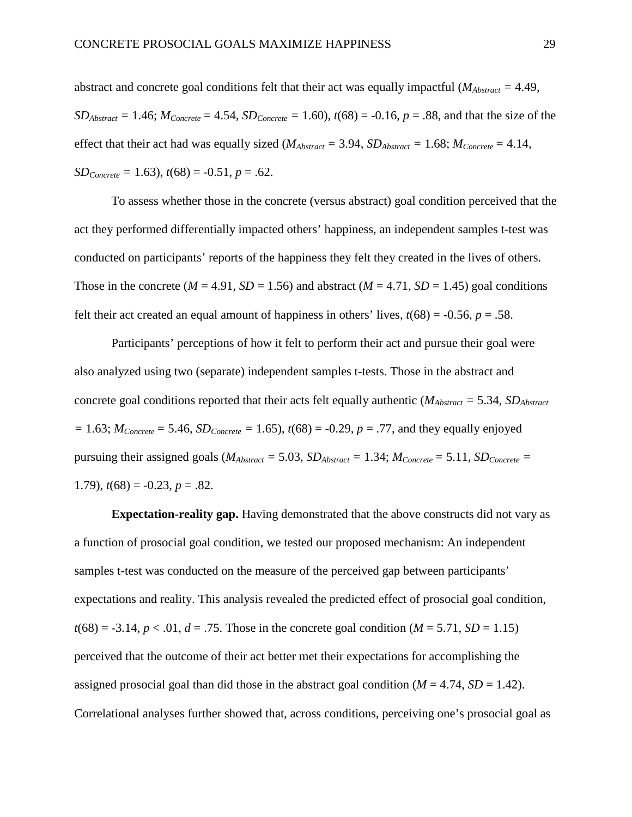abstract and concrete goal conditions felt that their act was equally impactful (*MAbstract =* 4.49*,*   $SD_{Abstract} = 1.46$ ;  $M_{Concrete} = 4.54$ ,  $SD_{Concrete} = 1.60$ ),  $t(68) = -0.16$ ,  $p = .88$ , and that the size of the effect that their act had was equally sized ( $M_{Abstract} = 3.94$ ,  $SD_{Abstract} = 1.68$ ;  $M_{Concrete} = 4.14$ ,  $SD_{Concrete} = 1.63$ ,  $t(68) = -0.51$ ,  $p = .62$ .

To assess whether those in the concrete (versus abstract) goal condition perceived that the act they performed differentially impacted others' happiness, an independent samples t-test was conducted on participants' reports of the happiness they felt they created in the lives of others. Those in the concrete ( $M = 4.91$ ,  $SD = 1.56$ ) and abstract ( $M = 4.71$ ,  $SD = 1.45$ ) goal conditions felt their act created an equal amount of happiness in others' lives,  $t(68) = -0.56$ ,  $p = .58$ .

Participants' perceptions of how it felt to perform their act and pursue their goal were also analyzed using two (separate) independent samples t-tests. Those in the abstract and concrete goal conditions reported that their acts felt equally authentic ( $M_{Abstract} = 5.34$ ,  $SD_{Abstract}$  $= 1.63$ ;  $M_{Concrete} = 5.46$ ,  $SD_{Concrete} = 1.65$ ),  $t(68) = -0.29$ ,  $p = .77$ , and they equally enjoyed pursuing their assigned goals ( $M_{Abstract} = 5.03$ ,  $SD_{Abstract} = 1.34$ ;  $M_{Concrete} = 5.11$ ,  $SD_{Concrete} =$ 1.79),  $t(68) = -0.23$ ,  $p = .82$ .

**Expectation-reality gap.** Having demonstrated that the above constructs did not vary as a function of prosocial goal condition, we tested our proposed mechanism: An independent samples t-test was conducted on the measure of the perceived gap between participants' expectations and reality. This analysis revealed the predicted effect of prosocial goal condition,  $t(68) = -3.14$ ,  $p < .01$ ,  $d = .75$ . Those in the concrete goal condition ( $M = 5.71$ ,  $SD = 1.15$ ) perceived that the outcome of their act better met their expectations for accomplishing the assigned prosocial goal than did those in the abstract goal condition  $(M = 4.74, SD = 1.42)$ . Correlational analyses further showed that, across conditions, perceiving one's prosocial goal as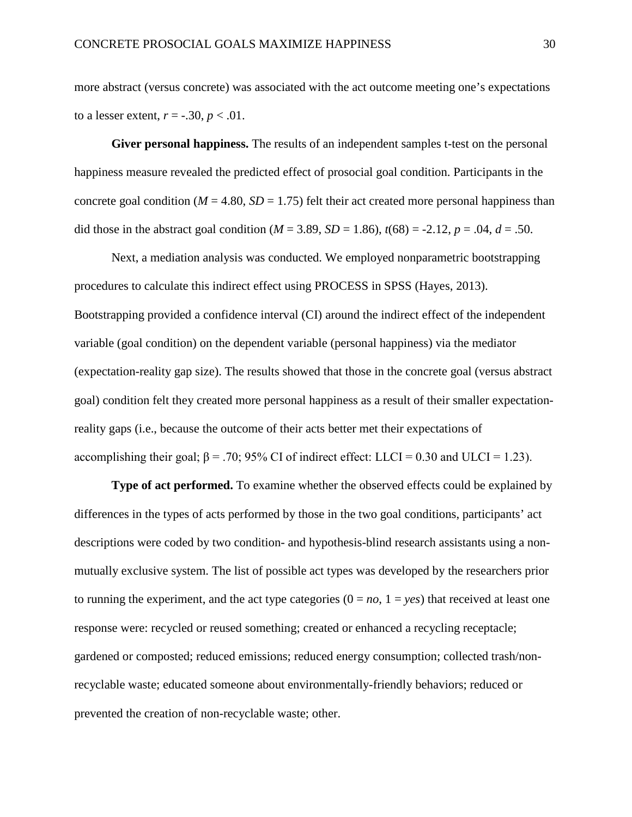more abstract (versus concrete) was associated with the act outcome meeting one's expectations to a lesser extent,  $r = -.30, p < .01$ .

**Giver personal happiness.** The results of an independent samples t-test on the personal happiness measure revealed the predicted effect of prosocial goal condition. Participants in the concrete goal condition ( $M = 4.80$ ,  $SD = 1.75$ ) felt their act created more personal happiness than did those in the abstract goal condition ( $M = 3.89$ ,  $SD = 1.86$ ),  $t(68) = -2.12$ ,  $p = .04$ ,  $d = .50$ .

Next, a mediation analysis was conducted. We employed nonparametric bootstrapping procedures to calculate this indirect effect using PROCESS in SPSS (Hayes, 2013). Bootstrapping provided a confidence interval (CI) around the indirect effect of the independent variable (goal condition) on the dependent variable (personal happiness) via the mediator (expectation-reality gap size). The results showed that those in the concrete goal (versus abstract goal) condition felt they created more personal happiness as a result of their smaller expectationreality gaps (i.e., because the outcome of their acts better met their expectations of accomplishing their goal;  $β = .70$ ; 95% CI of indirect effect: LLCI = 0.30 and ULCI = 1.23).

**Type of act performed.** To examine whether the observed effects could be explained by differences in the types of acts performed by those in the two goal conditions, participants' act descriptions were coded by two condition- and hypothesis-blind research assistants using a nonmutually exclusive system. The list of possible act types was developed by the researchers prior to running the experiment, and the act type categories  $(0 = no, 1 = yes)$  that received at least one response were: recycled or reused something; created or enhanced a recycling receptacle; gardened or composted; reduced emissions; reduced energy consumption; collected trash/nonrecyclable waste; educated someone about environmentally-friendly behaviors; reduced or prevented the creation of non-recyclable waste; other.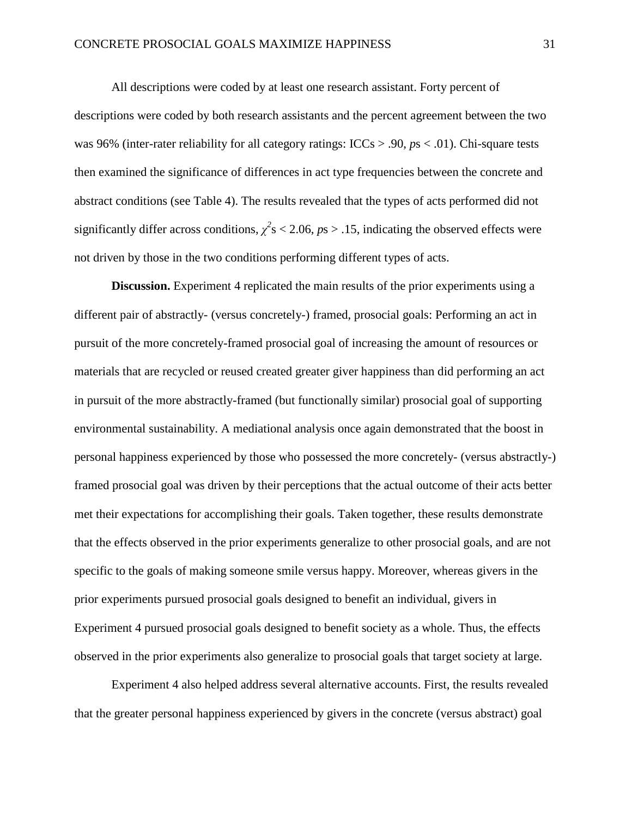All descriptions were coded by at least one research assistant. Forty percent of descriptions were coded by both research assistants and the percent agreement between the two was 96% (inter-rater reliability for all category ratings: ICCs > .90, *p*s < .01). Chi-square tests then examined the significance of differences in act type frequencies between the concrete and abstract conditions (see Table 4). The results revealed that the types of acts performed did not significantly differ across conditions,  $\chi^2$ s < 2.06, *ps* > .15, indicating the observed effects were not driven by those in the two conditions performing different types of acts.

**Discussion.** Experiment 4 replicated the main results of the prior experiments using a different pair of abstractly- (versus concretely-) framed, prosocial goals: Performing an act in pursuit of the more concretely-framed prosocial goal of increasing the amount of resources or materials that are recycled or reused created greater giver happiness than did performing an act in pursuit of the more abstractly-framed (but functionally similar) prosocial goal of supporting environmental sustainability. A mediational analysis once again demonstrated that the boost in personal happiness experienced by those who possessed the more concretely- (versus abstractly-) framed prosocial goal was driven by their perceptions that the actual outcome of their acts better met their expectations for accomplishing their goals. Taken together, these results demonstrate that the effects observed in the prior experiments generalize to other prosocial goals, and are not specific to the goals of making someone smile versus happy. Moreover, whereas givers in the prior experiments pursued prosocial goals designed to benefit an individual, givers in Experiment 4 pursued prosocial goals designed to benefit society as a whole. Thus, the effects observed in the prior experiments also generalize to prosocial goals that target society at large.

Experiment 4 also helped address several alternative accounts. First, the results revealed that the greater personal happiness experienced by givers in the concrete (versus abstract) goal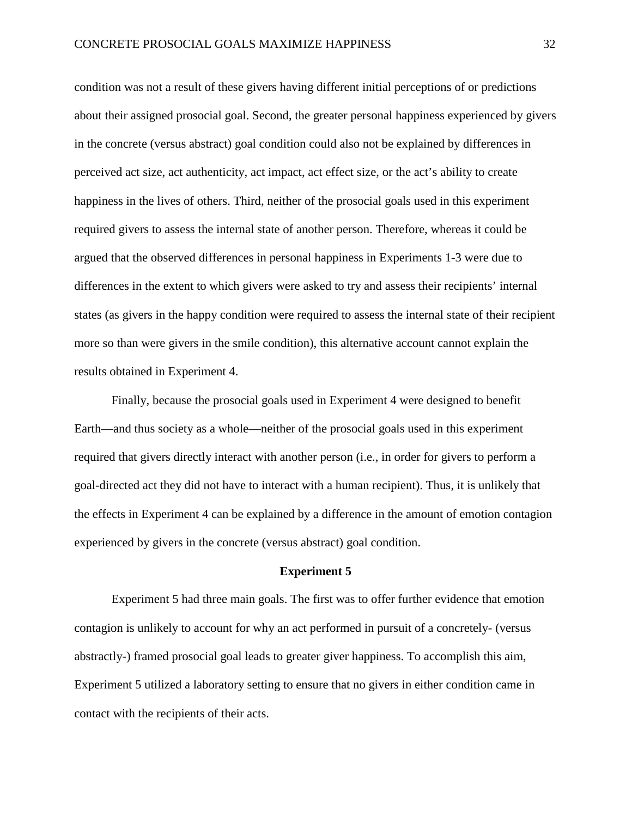condition was not a result of these givers having different initial perceptions of or predictions about their assigned prosocial goal. Second, the greater personal happiness experienced by givers in the concrete (versus abstract) goal condition could also not be explained by differences in perceived act size, act authenticity, act impact, act effect size, or the act's ability to create happiness in the lives of others. Third, neither of the prosocial goals used in this experiment required givers to assess the internal state of another person. Therefore, whereas it could be argued that the observed differences in personal happiness in Experiments 1-3 were due to differences in the extent to which givers were asked to try and assess their recipients' internal states (as givers in the happy condition were required to assess the internal state of their recipient more so than were givers in the smile condition), this alternative account cannot explain the results obtained in Experiment 4.

Finally, because the prosocial goals used in Experiment 4 were designed to benefit Earth—and thus society as a whole—neither of the prosocial goals used in this experiment required that givers directly interact with another person (i.e., in order for givers to perform a goal-directed act they did not have to interact with a human recipient). Thus, it is unlikely that the effects in Experiment 4 can be explained by a difference in the amount of emotion contagion experienced by givers in the concrete (versus abstract) goal condition.

#### **Experiment 5**

Experiment 5 had three main goals. The first was to offer further evidence that emotion contagion is unlikely to account for why an act performed in pursuit of a concretely- (versus abstractly-) framed prosocial goal leads to greater giver happiness. To accomplish this aim, Experiment 5 utilized a laboratory setting to ensure that no givers in either condition came in contact with the recipients of their acts.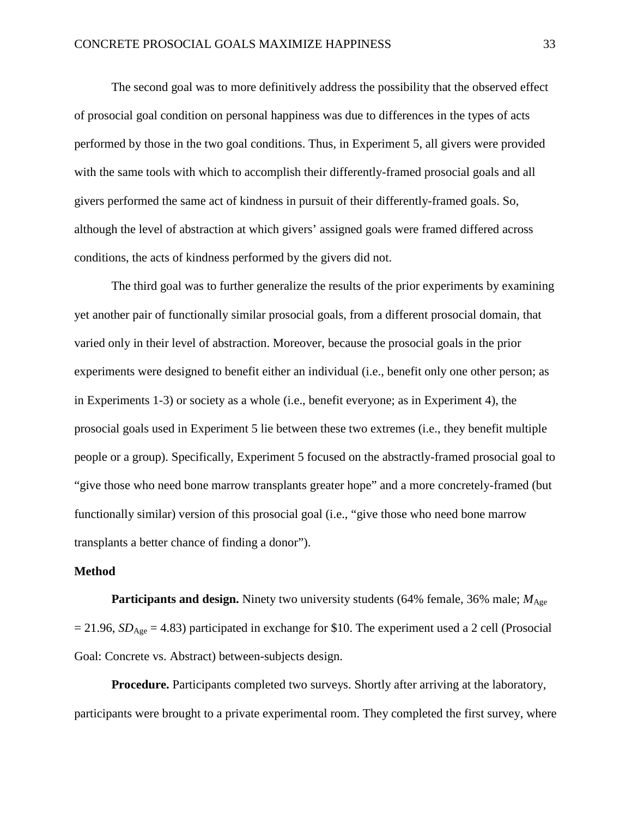The second goal was to more definitively address the possibility that the observed effect of prosocial goal condition on personal happiness was due to differences in the types of acts performed by those in the two goal conditions. Thus, in Experiment 5, all givers were provided with the same tools with which to accomplish their differently-framed prosocial goals and all givers performed the same act of kindness in pursuit of their differently-framed goals. So, although the level of abstraction at which givers' assigned goals were framed differed across conditions, the acts of kindness performed by the givers did not.

The third goal was to further generalize the results of the prior experiments by examining yet another pair of functionally similar prosocial goals, from a different prosocial domain, that varied only in their level of abstraction. Moreover, because the prosocial goals in the prior experiments were designed to benefit either an individual (i.e., benefit only one other person; as in Experiments 1-3) or society as a whole (i.e., benefit everyone; as in Experiment 4), the prosocial goals used in Experiment 5 lie between these two extremes (i.e., they benefit multiple people or a group). Specifically, Experiment 5 focused on the abstractly-framed prosocial goal to "give those who need bone marrow transplants greater hope" and a more concretely-framed (but functionally similar) version of this prosocial goal (i.e., "give those who need bone marrow transplants a better chance of finding a donor").

#### **Method**

**Participants and design.** Ninety two university students (64% female, 36% male;  $M_{\text{Age}}$  $= 21.96$ , *SD*<sub>Age</sub>  $= 4.83$ ) participated in exchange for \$10. The experiment used a 2 cell (Prosocial Goal: Concrete vs. Abstract) between-subjects design.

**Procedure.** Participants completed two surveys. Shortly after arriving at the laboratory, participants were brought to a private experimental room. They completed the first survey, where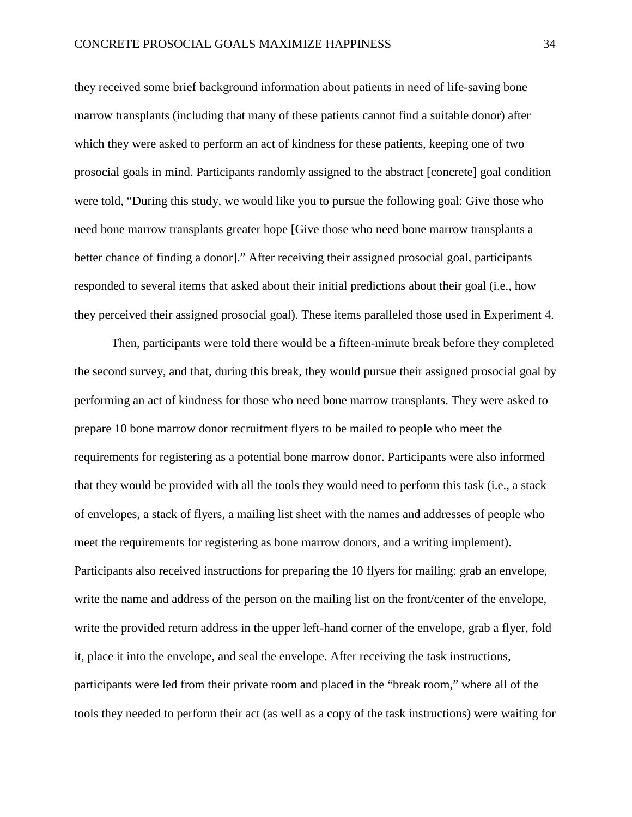they received some brief background information about patients in need of life-saving bone marrow transplants (including that many of these patients cannot find a suitable donor) after which they were asked to perform an act of kindness for these patients, keeping one of two prosocial goals in mind. Participants randomly assigned to the abstract [concrete] goal condition were told, "During this study, we would like you to pursue the following goal: Give those who need bone marrow transplants greater hope [Give those who need bone marrow transplants a better chance of finding a donor]." After receiving their assigned prosocial goal, participants responded to several items that asked about their initial predictions about their goal (i.e., how they perceived their assigned prosocial goal). These items paralleled those used in Experiment 4.

Then, participants were told there would be a fifteen-minute break before they completed the second survey, and that, during this break, they would pursue their assigned prosocial goal by performing an act of kindness for those who need bone marrow transplants. They were asked to prepare 10 bone marrow donor recruitment flyers to be mailed to people who meet the requirements for registering as a potential bone marrow donor. Participants were also informed that they would be provided with all the tools they would need to perform this task (i.e., a stack of envelopes, a stack of flyers, a mailing list sheet with the names and addresses of people who meet the requirements for registering as bone marrow donors, and a writing implement). Participants also received instructions for preparing the 10 flyers for mailing: grab an envelope, write the name and address of the person on the mailing list on the front/center of the envelope, write the provided return address in the upper left-hand corner of the envelope, grab a flyer, fold it, place it into the envelope, and seal the envelope. After receiving the task instructions, participants were led from their private room and placed in the "break room," where all of the tools they needed to perform their act (as well as a copy of the task instructions) were waiting for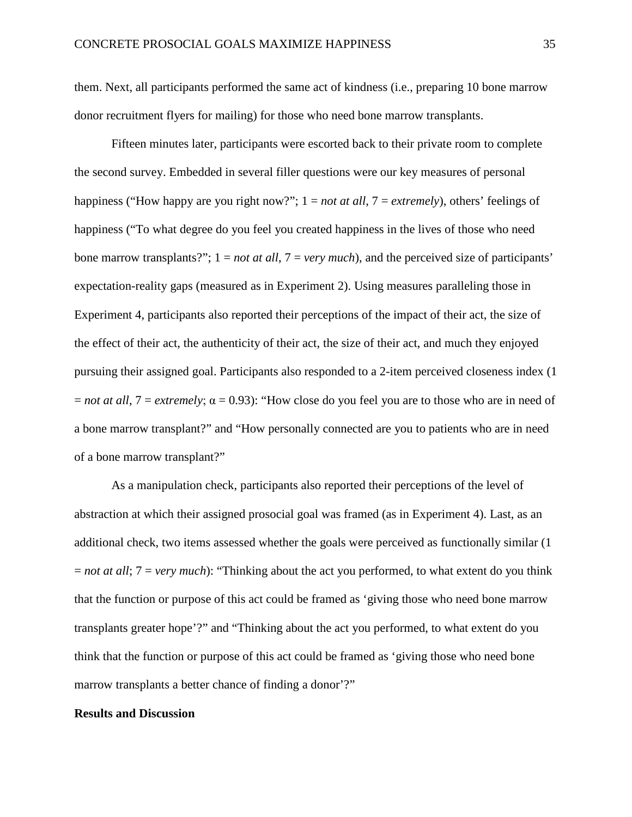them. Next, all participants performed the same act of kindness (i.e., preparing 10 bone marrow donor recruitment flyers for mailing) for those who need bone marrow transplants.

Fifteen minutes later, participants were escorted back to their private room to complete the second survey. Embedded in several filler questions were our key measures of personal happiness ("How happy are you right now?"; 1 = *not at all*, 7 = *extremely*), others' feelings of happiness ("To what degree do you feel you created happiness in the lives of those who need bone marrow transplants?"; 1 = *not at all*, 7 = *very much*), and the perceived size of participants' expectation-reality gaps (measured as in Experiment 2). Using measures paralleling those in Experiment 4, participants also reported their perceptions of the impact of their act, the size of the effect of their act, the authenticity of their act, the size of their act, and much they enjoyed pursuing their assigned goal. Participants also responded to a 2-item perceived closeness index (1  $=$  *not at all*,  $7 =$  *extremely*;  $\alpha = 0.93$ ): "How close do you feel you are to those who are in need of a bone marrow transplant?" and "How personally connected are you to patients who are in need of a bone marrow transplant?"

As a manipulation check, participants also reported their perceptions of the level of abstraction at which their assigned prosocial goal was framed (as in Experiment 4). Last, as an additional check, two items assessed whether the goals were perceived as functionally similar (1 = *not at all*; 7 = *very much*): "Thinking about the act you performed, to what extent do you think that the function or purpose of this act could be framed as 'giving those who need bone marrow transplants greater hope'?" and "Thinking about the act you performed, to what extent do you think that the function or purpose of this act could be framed as 'giving those who need bone marrow transplants a better chance of finding a donor'?"

#### **Results and Discussion**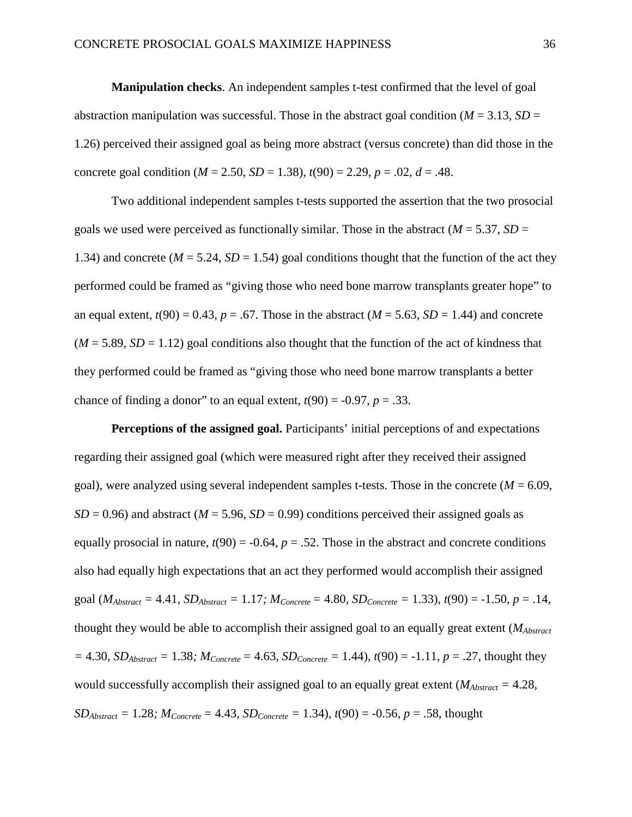**Manipulation checks**. An independent samples t-test confirmed that the level of goal abstraction manipulation was successful. Those in the abstract goal condition ( $M = 3.13$ ,  $SD =$ 1.26) perceived their assigned goal as being more abstract (versus concrete) than did those in the concrete goal condition ( $M = 2.50$ ,  $SD = 1.38$ ),  $t(90) = 2.29$ ,  $p = .02$ ,  $d = .48$ .

Two additional independent samples t-tests supported the assertion that the two prosocial goals we used were perceived as functionally similar. Those in the abstract ( $M = 5.37$ ,  $SD =$ 1.34) and concrete ( $M = 5.24$ ,  $SD = 1.54$ ) goal conditions thought that the function of the act they performed could be framed as "giving those who need bone marrow transplants greater hope" to an equal extent,  $t(90) = 0.43$ ,  $p = .67$ . Those in the abstract  $(M = 5.63, SD = 1.44)$  and concrete  $(M = 5.89, SD = 1.12)$  goal conditions also thought that the function of the act of kindness that they performed could be framed as "giving those who need bone marrow transplants a better chance of finding a donor" to an equal extent,  $t(90) = -0.97$ ,  $p = .33$ .

**Perceptions of the assigned goal.** Participants' initial perceptions of and expectations regarding their assigned goal (which were measured right after they received their assigned goal), were analyzed using several independent samples t-tests. Those in the concrete  $(M = 6.09)$ ,  $SD = 0.96$ ) and abstract ( $M = 5.96$ ,  $SD = 0.99$ ) conditions perceived their assigned goals as equally prosocial in nature,  $t(90) = -0.64$ ,  $p = .52$ . Those in the abstract and concrete conditions also had equally high expectations that an act they performed would accomplish their assigned goal ( $M_{Abstract} = 4.41$ ,  $SD_{Abstract} = 1.17$ ;  $M_{Concrete} = 4.80$ ,  $SD_{Concrete} = 1.33$ ),  $t(90) = -1.50$ ,  $p = .14$ , thought they would be able to accomplish their assigned goal to an equally great extent (*MAbstract*  $= 4.30$ *, SD<sub>Abstract</sub>*  $= 1.38$ *;*  $M_{Concrete} = 4.63$ *, SD<sub>Concrete</sub>*  $= 1.44$ *),*  $t(90) = -1.11$ *,*  $p = .27$ *,* thought they would successfully accomplish their assigned goal to an equally great extent ( $M_{Abstract} = 4.28$ , *SD<sub>Abstract</sub>* = 1.28*;*  $M_{Concrete} = 4.43$ ,  $SD_{Concrete} = 1.34$ ,  $t(90) = -0.56$ ,  $p = .58$ , thought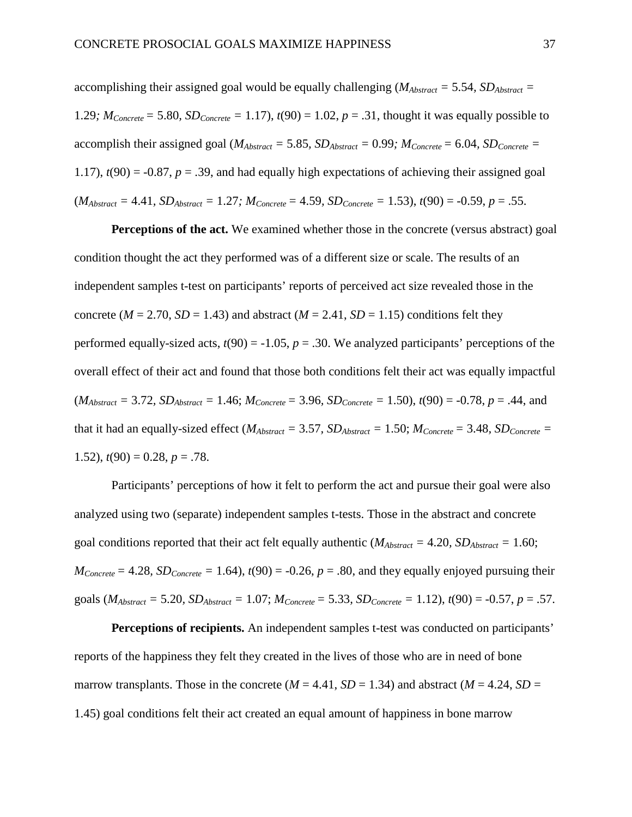accomplishing their assigned goal would be equally challenging ( $M_{Abstract} = 5.54$ ,  $SD_{Abstract} =$ 1.29*;*  $M_{Concrete} = 5.80$ ,  $SD_{Concrete} = 1.17$ ,  $t(90) = 1.02$ ,  $p = .31$ , thought it was equally possible to accomplish their assigned goal ( $M_{Abstract} = 5.85$ ,  $SD_{Abstract} = 0.99$ ;  $M_{Concrete} = 6.04$ ,  $SD_{Concrete} =$ 1.17),  $t(90) = -0.87$ ,  $p = .39$ , and had equally high expectations of achieving their assigned goal  $(M_{Abstract} = 4.41, SD_{Abstract} = 1.27; M_{Concrete} = 4.59, SD_{Concrete} = 1.53), t(90) = -0.59, p = .55.$ 

**Perceptions of the act.** We examined whether those in the concrete (versus abstract) goal condition thought the act they performed was of a different size or scale. The results of an independent samples t-test on participants' reports of perceived act size revealed those in the concrete ( $M = 2.70$ ,  $SD = 1.43$ ) and abstract ( $M = 2.41$ ,  $SD = 1.15$ ) conditions felt they performed equally-sized acts,  $t(90) = -1.05$ ,  $p = .30$ . We analyzed participants' perceptions of the overall effect of their act and found that those both conditions felt their act was equally impactful  $(M_{Abstract} = 3.72, SD_{Abstract} = 1.46; M_{Concrete} = 3.96, SD_{Concrete} = 1.50), t(90) = -0.78, p = .44, and$ that it had an equally-sized effect ( $M_{Abstract} = 3.57$ ,  $SD_{Abstract} = 1.50$ ;  $M_{Concrete} = 3.48$ ,  $SD_{Concrete} =$ 1.52),  $t(90) = 0.28$ ,  $p = .78$ .

Participants' perceptions of how it felt to perform the act and pursue their goal were also analyzed using two (separate) independent samples t-tests. Those in the abstract and concrete goal conditions reported that their act felt equally authentic ( $M_{Abstract} = 4.20$ ,  $SD_{Abstract} = 1.60$ ;  $M_{Concrete} = 4.28$ ,  $SD_{Concrete} = 1.64$ ,  $t(90) = -0.26$ ,  $p = .80$ , and they equally enjoyed pursuing their goals  $(M_{Abstract} = 5.20, SD_{Abstract} = 1.07; M_{Concrete} = 5.33, SD_{Concrete} = 1.12), t(90) = -0.57, p = .57.$ 

**Perceptions of recipients.** An independent samples t-test was conducted on participants' reports of the happiness they felt they created in the lives of those who are in need of bone marrow transplants. Those in the concrete ( $M = 4.41$ ,  $SD = 1.34$ ) and abstract ( $M = 4.24$ ,  $SD =$ 1.45) goal conditions felt their act created an equal amount of happiness in bone marrow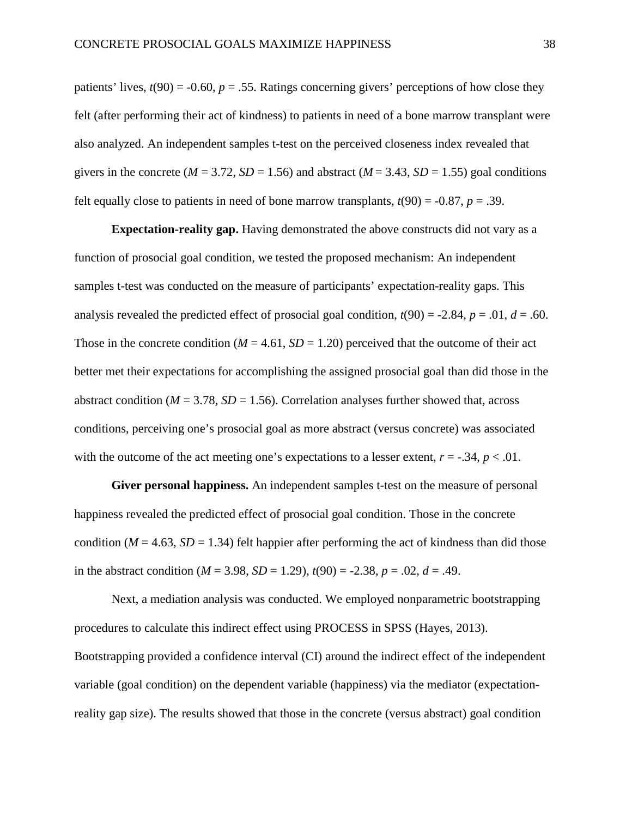patients' lives,  $t(90) = -0.60$ ,  $p = .55$ . Ratings concerning givers' perceptions of how close they felt (after performing their act of kindness) to patients in need of a bone marrow transplant were also analyzed. An independent samples t-test on the perceived closeness index revealed that givers in the concrete ( $M = 3.72$ ,  $SD = 1.56$ ) and abstract ( $M = 3.43$ ,  $SD = 1.55$ ) goal conditions felt equally close to patients in need of bone marrow transplants,  $t(90) = -0.87$ ,  $p = .39$ .

**Expectation-reality gap.** Having demonstrated the above constructs did not vary as a function of prosocial goal condition, we tested the proposed mechanism: An independent samples t-test was conducted on the measure of participants' expectation-reality gaps. This analysis revealed the predicted effect of prosocial goal condition,  $t(90) = -2.84$ ,  $p = .01$ ,  $d = .60$ . Those in the concrete condition ( $M = 4.61$ ,  $SD = 1.20$ ) perceived that the outcome of their act better met their expectations for accomplishing the assigned prosocial goal than did those in the abstract condition ( $M = 3.78$ ,  $SD = 1.56$ ). Correlation analyses further showed that, across conditions, perceiving one's prosocial goal as more abstract (versus concrete) was associated with the outcome of the act meeting one's expectations to a lesser extent,  $r = -.34$ ,  $p < .01$ .

**Giver personal happiness.** An independent samples t-test on the measure of personal happiness revealed the predicted effect of prosocial goal condition. Those in the concrete condition ( $M = 4.63$ ,  $SD = 1.34$ ) felt happier after performing the act of kindness than did those in the abstract condition ( $M = 3.98$ ,  $SD = 1.29$ ),  $t(90) = -2.38$ ,  $p = .02$ ,  $d = .49$ .

Next, a mediation analysis was conducted. We employed nonparametric bootstrapping procedures to calculate this indirect effect using PROCESS in SPSS (Hayes, 2013). Bootstrapping provided a confidence interval (CI) around the indirect effect of the independent variable (goal condition) on the dependent variable (happiness) via the mediator (expectationreality gap size). The results showed that those in the concrete (versus abstract) goal condition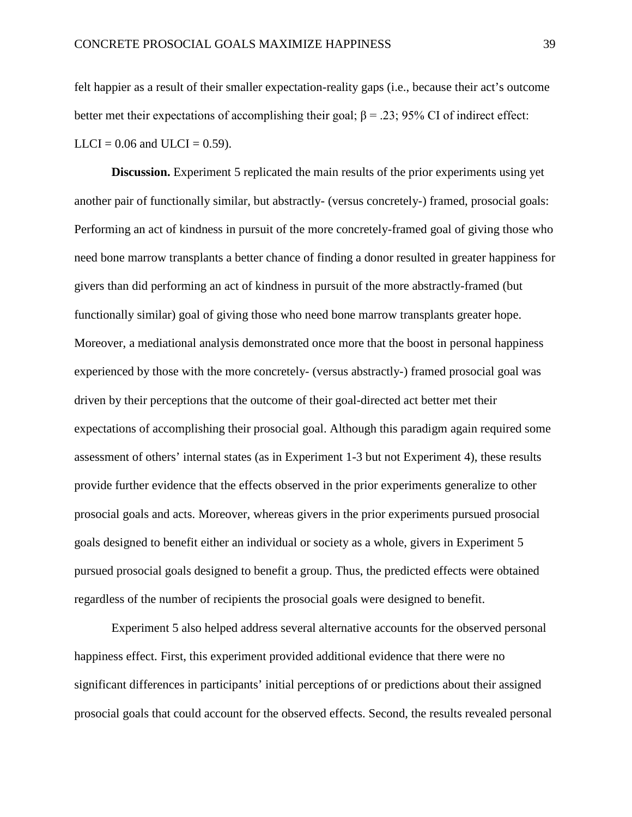felt happier as a result of their smaller expectation-reality gaps (i.e., because their act's outcome better met their expectations of accomplishing their goal;  $\beta = 0.23$ ; 95% CI of indirect effect:  $LLCI = 0.06$  and  $ULCI = 0.59$ ).

**Discussion.** Experiment 5 replicated the main results of the prior experiments using yet another pair of functionally similar, but abstractly- (versus concretely-) framed, prosocial goals: Performing an act of kindness in pursuit of the more concretely-framed goal of giving those who need bone marrow transplants a better chance of finding a donor resulted in greater happiness for givers than did performing an act of kindness in pursuit of the more abstractly-framed (but functionally similar) goal of giving those who need bone marrow transplants greater hope. Moreover, a mediational analysis demonstrated once more that the boost in personal happiness experienced by those with the more concretely- (versus abstractly-) framed prosocial goal was driven by their perceptions that the outcome of their goal-directed act better met their expectations of accomplishing their prosocial goal. Although this paradigm again required some assessment of others' internal states (as in Experiment 1-3 but not Experiment 4), these results provide further evidence that the effects observed in the prior experiments generalize to other prosocial goals and acts. Moreover, whereas givers in the prior experiments pursued prosocial goals designed to benefit either an individual or society as a whole, givers in Experiment 5 pursued prosocial goals designed to benefit a group. Thus, the predicted effects were obtained regardless of the number of recipients the prosocial goals were designed to benefit.

Experiment 5 also helped address several alternative accounts for the observed personal happiness effect. First, this experiment provided additional evidence that there were no significant differences in participants' initial perceptions of or predictions about their assigned prosocial goals that could account for the observed effects. Second, the results revealed personal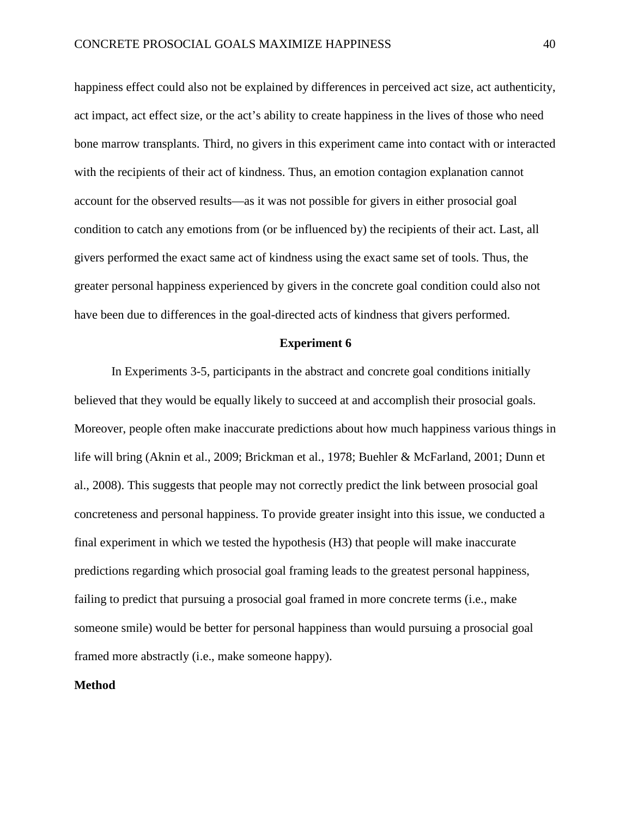happiness effect could also not be explained by differences in perceived act size, act authenticity, act impact, act effect size, or the act's ability to create happiness in the lives of those who need bone marrow transplants. Third, no givers in this experiment came into contact with or interacted with the recipients of their act of kindness. Thus, an emotion contagion explanation cannot account for the observed results—as it was not possible for givers in either prosocial goal condition to catch any emotions from (or be influenced by) the recipients of their act. Last, all givers performed the exact same act of kindness using the exact same set of tools. Thus, the greater personal happiness experienced by givers in the concrete goal condition could also not have been due to differences in the goal-directed acts of kindness that givers performed.

# **Experiment 6**

In Experiments 3-5, participants in the abstract and concrete goal conditions initially believed that they would be equally likely to succeed at and accomplish their prosocial goals. Moreover, people often make inaccurate predictions about how much happiness various things in life will bring (Aknin et al., 2009; Brickman et al., 1978; Buehler & McFarland, 2001; Dunn et al., 2008). This suggests that people may not correctly predict the link between prosocial goal concreteness and personal happiness. To provide greater insight into this issue, we conducted a final experiment in which we tested the hypothesis (H3) that people will make inaccurate predictions regarding which prosocial goal framing leads to the greatest personal happiness, failing to predict that pursuing a prosocial goal framed in more concrete terms (i.e., make someone smile) would be better for personal happiness than would pursuing a prosocial goal framed more abstractly (i.e., make someone happy).

# **Method**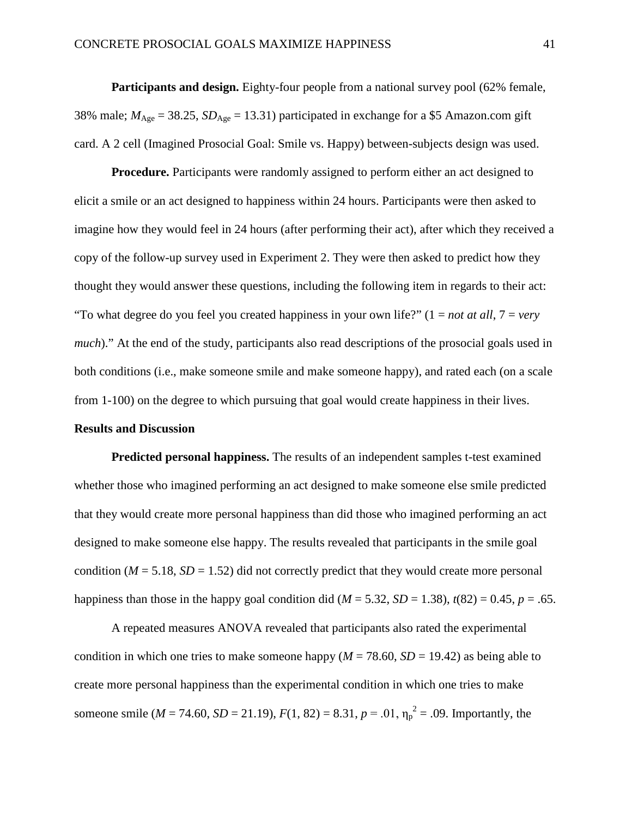Participants and design. Eighty-four people from a national survey pool (62% female, 38% male;  $M_{\text{Age}} = 38.25$ ,  $SD_{\text{Age}} = 13.31$ ) participated in exchange for a \$5 Amazon.com gift card. A 2 cell (Imagined Prosocial Goal: Smile vs. Happy) between-subjects design was used.

**Procedure.** Participants were randomly assigned to perform either an act designed to elicit a smile or an act designed to happiness within 24 hours. Participants were then asked to imagine how they would feel in 24 hours (after performing their act), after which they received a copy of the follow-up survey used in Experiment 2. They were then asked to predict how they thought they would answer these questions, including the following item in regards to their act: "To what degree do you feel you created happiness in your own life?" (1 = *not at all*, 7 = *very much*)." At the end of the study, participants also read descriptions of the prosocial goals used in both conditions (i.e., make someone smile and make someone happy), and rated each (on a scale from 1-100) on the degree to which pursuing that goal would create happiness in their lives.

# **Results and Discussion**

**Predicted personal happiness.** The results of an independent samples t-test examined whether those who imagined performing an act designed to make someone else smile predicted that they would create more personal happiness than did those who imagined performing an act designed to make someone else happy. The results revealed that participants in the smile goal condition ( $M = 5.18$ ,  $SD = 1.52$ ) did not correctly predict that they would create more personal happiness than those in the happy goal condition did ( $M = 5.32$ ,  $SD = 1.38$ ),  $t(82) = 0.45$ ,  $p = .65$ .

A repeated measures ANOVA revealed that participants also rated the experimental condition in which one tries to make someone happy ( $M = 78.60$ ,  $SD = 19.42$ ) as being able to create more personal happiness than the experimental condition in which one tries to make someone smile ( $M = 74.60$ ,  $SD = 21.19$ ),  $F(1, 82) = 8.31$ ,  $p = .01$ ,  $\eta_p^2 = .09$ . Importantly, the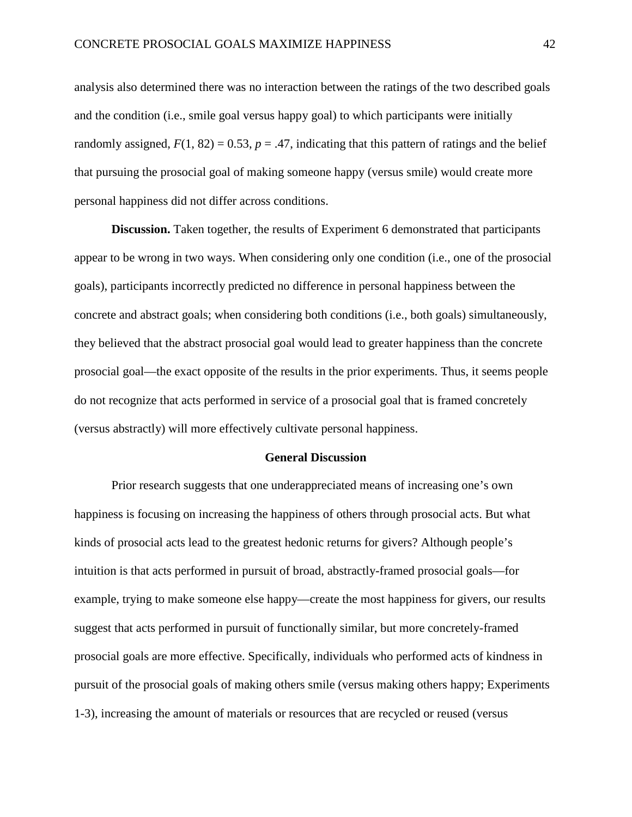analysis also determined there was no interaction between the ratings of the two described goals and the condition (i.e., smile goal versus happy goal) to which participants were initially randomly assigned,  $F(1, 82) = 0.53$ ,  $p = .47$ , indicating that this pattern of ratings and the belief that pursuing the prosocial goal of making someone happy (versus smile) would create more personal happiness did not differ across conditions.

**Discussion.** Taken together, the results of Experiment 6 demonstrated that participants appear to be wrong in two ways. When considering only one condition (i.e., one of the prosocial goals), participants incorrectly predicted no difference in personal happiness between the concrete and abstract goals; when considering both conditions (i.e., both goals) simultaneously, they believed that the abstract prosocial goal would lead to greater happiness than the concrete prosocial goal—the exact opposite of the results in the prior experiments. Thus, it seems people do not recognize that acts performed in service of a prosocial goal that is framed concretely (versus abstractly) will more effectively cultivate personal happiness.

# **General Discussion**

Prior research suggests that one underappreciated means of increasing one's own happiness is focusing on increasing the happiness of others through prosocial acts. But what kinds of prosocial acts lead to the greatest hedonic returns for givers? Although people's intuition is that acts performed in pursuit of broad, abstractly-framed prosocial goals—for example, trying to make someone else happy—create the most happiness for givers, our results suggest that acts performed in pursuit of functionally similar, but more concretely-framed prosocial goals are more effective. Specifically, individuals who performed acts of kindness in pursuit of the prosocial goals of making others smile (versus making others happy; Experiments 1-3), increasing the amount of materials or resources that are recycled or reused (versus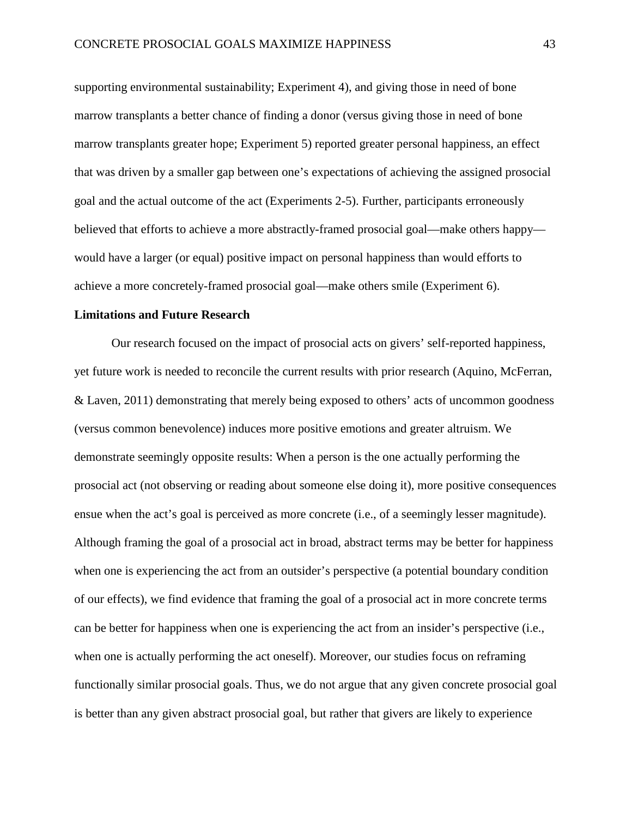supporting environmental sustainability; Experiment 4), and giving those in need of bone marrow transplants a better chance of finding a donor (versus giving those in need of bone marrow transplants greater hope; Experiment 5) reported greater personal happiness, an effect that was driven by a smaller gap between one's expectations of achieving the assigned prosocial goal and the actual outcome of the act (Experiments 2-5). Further, participants erroneously believed that efforts to achieve a more abstractly-framed prosocial goal—make others happy would have a larger (or equal) positive impact on personal happiness than would efforts to achieve a more concretely-framed prosocial goal—make others smile (Experiment 6).

# **Limitations and Future Research**

Our research focused on the impact of prosocial acts on givers' self-reported happiness, yet future work is needed to reconcile the current results with prior research (Aquino, McFerran, & Laven, 2011) demonstrating that merely being exposed to others' acts of uncommon goodness (versus common benevolence) induces more positive emotions and greater altruism. We demonstrate seemingly opposite results: When a person is the one actually performing the prosocial act (not observing or reading about someone else doing it), more positive consequences ensue when the act's goal is perceived as more concrete (i.e., of a seemingly lesser magnitude). Although framing the goal of a prosocial act in broad, abstract terms may be better for happiness when one is experiencing the act from an outsider's perspective (a potential boundary condition of our effects), we find evidence that framing the goal of a prosocial act in more concrete terms can be better for happiness when one is experiencing the act from an insider's perspective (i.e., when one is actually performing the act oneself). Moreover, our studies focus on reframing functionally similar prosocial goals. Thus, we do not argue that any given concrete prosocial goal is better than any given abstract prosocial goal, but rather that givers are likely to experience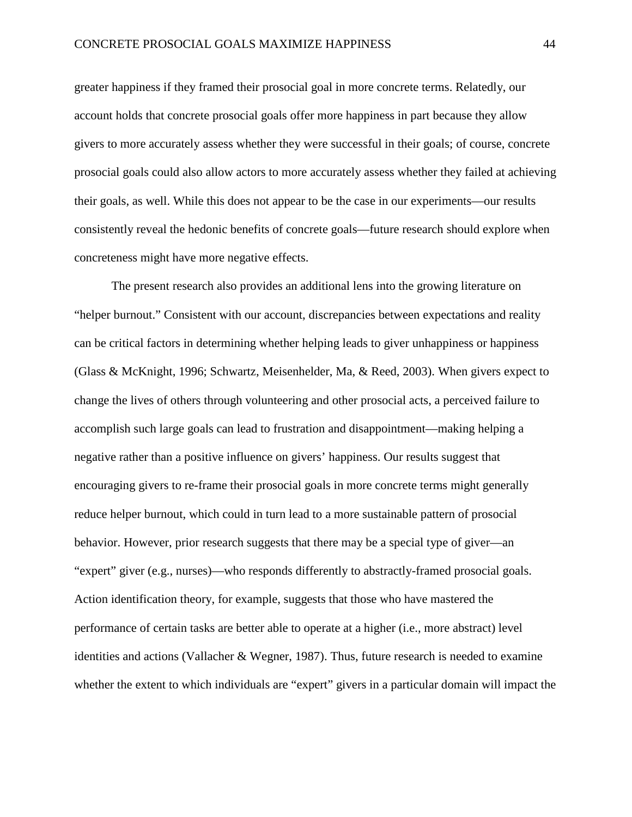greater happiness if they framed their prosocial goal in more concrete terms. Relatedly, our account holds that concrete prosocial goals offer more happiness in part because they allow givers to more accurately assess whether they were successful in their goals; of course, concrete prosocial goals could also allow actors to more accurately assess whether they failed at achieving their goals, as well. While this does not appear to be the case in our experiments—our results consistently reveal the hedonic benefits of concrete goals—future research should explore when concreteness might have more negative effects.

The present research also provides an additional lens into the growing literature on "helper burnout." Consistent with our account, discrepancies between expectations and reality can be critical factors in determining whether helping leads to giver unhappiness or happiness (Glass & McKnight, 1996; Schwartz, Meisenhelder, Ma, & Reed, 2003). When givers expect to change the lives of others through volunteering and other prosocial acts, a perceived failure to accomplish such large goals can lead to frustration and disappointment—making helping a negative rather than a positive influence on givers' happiness. Our results suggest that encouraging givers to re-frame their prosocial goals in more concrete terms might generally reduce helper burnout, which could in turn lead to a more sustainable pattern of prosocial behavior. However, prior research suggests that there may be a special type of giver—an "expert" giver (e.g., nurses)—who responds differently to abstractly-framed prosocial goals. Action identification theory, for example, suggests that those who have mastered the performance of certain tasks are better able to operate at a higher (i.e., more abstract) level identities and actions (Vallacher & Wegner, 1987). Thus, future research is needed to examine whether the extent to which individuals are "expert" givers in a particular domain will impact the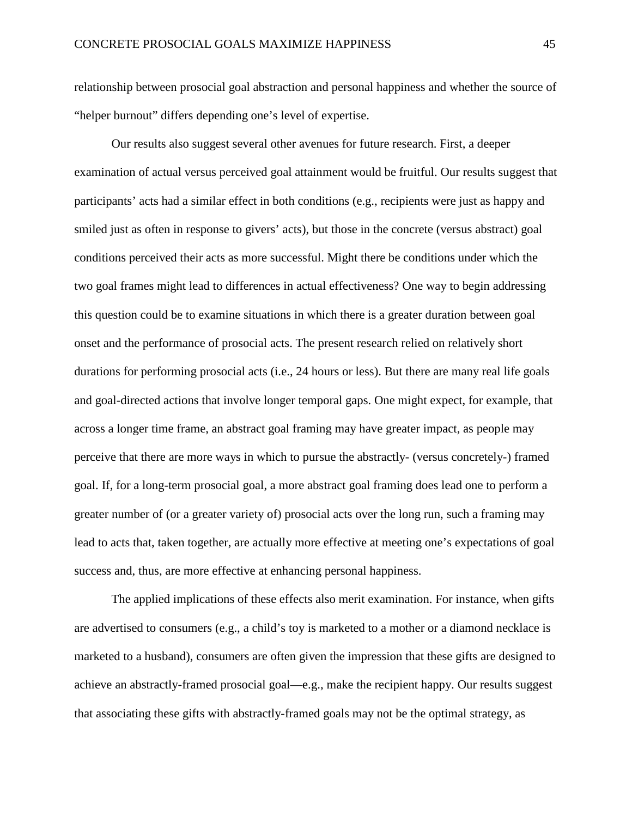relationship between prosocial goal abstraction and personal happiness and whether the source of "helper burnout" differs depending one's level of expertise.

Our results also suggest several other avenues for future research. First, a deeper examination of actual versus perceived goal attainment would be fruitful. Our results suggest that participants' acts had a similar effect in both conditions (e.g., recipients were just as happy and smiled just as often in response to givers' acts), but those in the concrete (versus abstract) goal conditions perceived their acts as more successful. Might there be conditions under which the two goal frames might lead to differences in actual effectiveness? One way to begin addressing this question could be to examine situations in which there is a greater duration between goal onset and the performance of prosocial acts. The present research relied on relatively short durations for performing prosocial acts (i.e., 24 hours or less). But there are many real life goals and goal-directed actions that involve longer temporal gaps. One might expect, for example, that across a longer time frame, an abstract goal framing may have greater impact, as people may perceive that there are more ways in which to pursue the abstractly- (versus concretely-) framed goal. If, for a long-term prosocial goal, a more abstract goal framing does lead one to perform a greater number of (or a greater variety of) prosocial acts over the long run, such a framing may lead to acts that, taken together, are actually more effective at meeting one's expectations of goal success and, thus, are more effective at enhancing personal happiness.

The applied implications of these effects also merit examination. For instance, when gifts are advertised to consumers (e.g., a child's toy is marketed to a mother or a diamond necklace is marketed to a husband), consumers are often given the impression that these gifts are designed to achieve an abstractly-framed prosocial goal—e.g., make the recipient happy. Our results suggest that associating these gifts with abstractly-framed goals may not be the optimal strategy, as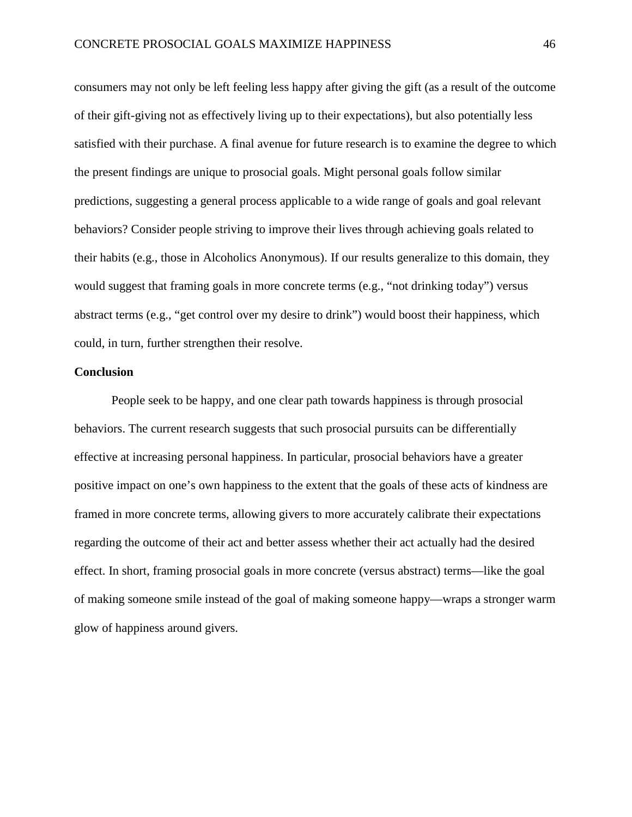consumers may not only be left feeling less happy after giving the gift (as a result of the outcome of their gift-giving not as effectively living up to their expectations), but also potentially less satisfied with their purchase. A final avenue for future research is to examine the degree to which the present findings are unique to prosocial goals. Might personal goals follow similar predictions, suggesting a general process applicable to a wide range of goals and goal relevant behaviors? Consider people striving to improve their lives through achieving goals related to their habits (e.g., those in Alcoholics Anonymous). If our results generalize to this domain, they would suggest that framing goals in more concrete terms (e.g., "not drinking today") versus abstract terms (e.g., "get control over my desire to drink") would boost their happiness, which could, in turn, further strengthen their resolve.

# **Conclusion**

People seek to be happy, and one clear path towards happiness is through prosocial behaviors. The current research suggests that such prosocial pursuits can be differentially effective at increasing personal happiness. In particular, prosocial behaviors have a greater positive impact on one's own happiness to the extent that the goals of these acts of kindness are framed in more concrete terms, allowing givers to more accurately calibrate their expectations regarding the outcome of their act and better assess whether their act actually had the desired effect. In short, framing prosocial goals in more concrete (versus abstract) terms—like the goal of making someone smile instead of the goal of making someone happy—wraps a stronger warm glow of happiness around givers.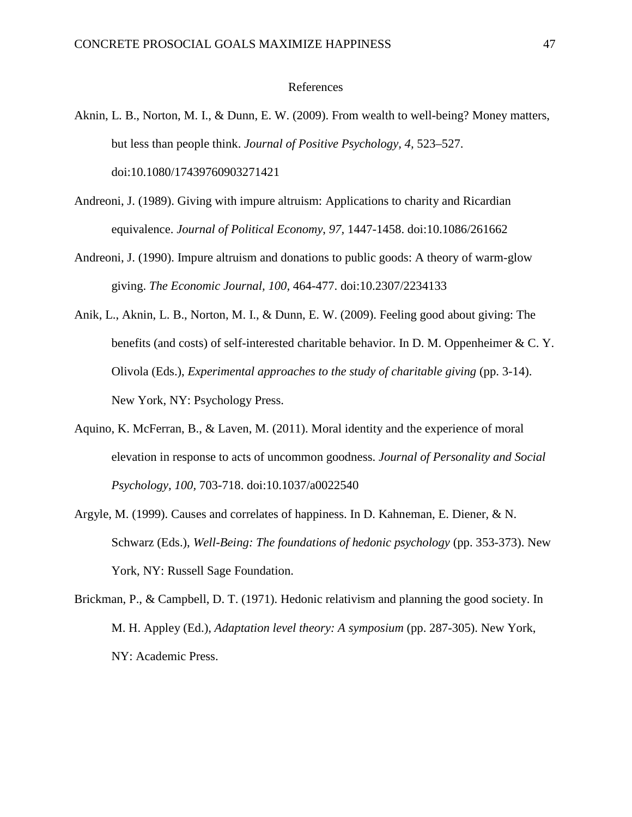### References

- Aknin, L. B., Norton, M. I., & Dunn, E. W. (2009). From wealth to well-being? Money matters, but less than people think. *Journal of Positive Psychology, 4,* 523–527. doi:10.1080/17439760903271421
- Andreoni, J. (1989). Giving with impure altruism: Applications to charity and Ricardian equivalence. *Journal of Political Economy*, *97,* 1447-1458. doi:10.1086/261662
- Andreoni, J. (1990). Impure altruism and donations to public goods: A theory of warm-glow giving. *The Economic Journal, 100,* 464-477. doi:10.2307/2234133
- Anik, L., Aknin, L. B., Norton, M. I., & Dunn, E. W. (2009). Feeling good about giving: The benefits (and costs) of self-interested charitable behavior. In D. M. Oppenheimer & C. Y. Olivola (Eds.), *Experimental approaches to the study of charitable giving* (pp. 3-14). New York, NY: Psychology Press.
- Aquino, K. McFerran, B., & Laven, M. (2011). Moral identity and the experience of moral elevation in response to acts of uncommon goodness. *Journal of Personality and Social Psychology, 100,* 703-718. doi:10.1037/a0022540
- Argyle, M. (1999). Causes and correlates of happiness. In D. Kahneman, E. Diener, & N. Schwarz (Eds.), *Well-Being: The foundations of hedonic psychology* (pp. 353-373). New York, NY: Russell Sage Foundation.
- Brickman, P., & Campbell, D. T. (1971). Hedonic relativism and planning the good society. In M. H. Appley (Ed.), *Adaptation level theory: A symposium* (pp. 287-305). New York, NY: Academic Press.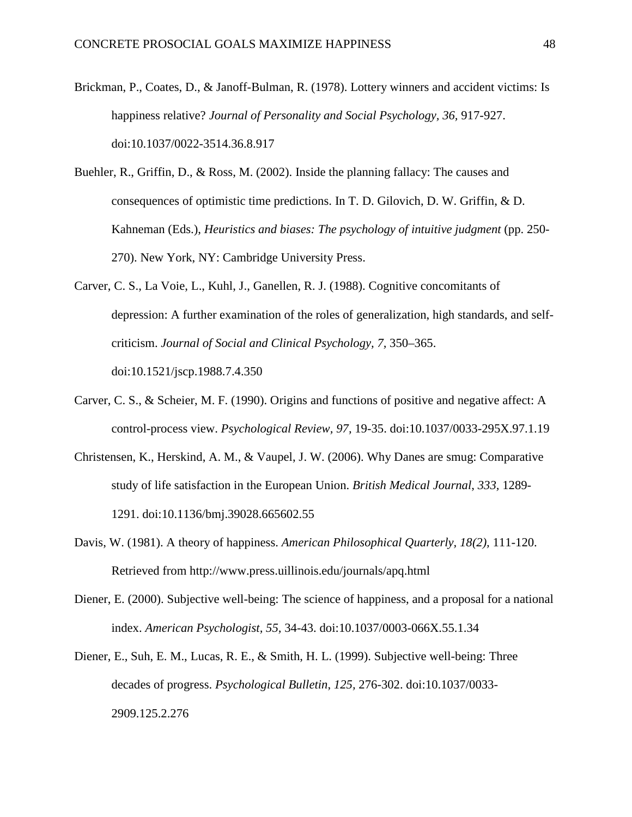- Brickman, P., Coates, D., & Janoff-Bulman, R. (1978). Lottery winners and accident victims: Is happiness relative? *Journal of Personality and Social Psychology, 36,* 917-927. doi:10.1037/0022-3514.36.8.917
- Buehler, R., Griffin, D., & Ross, M. (2002). Inside the planning fallacy: The causes and consequences of optimistic time predictions. In T. D. Gilovich, D. W. Griffin, & D. Kahneman (Eds.), *Heuristics and biases: The psychology of intuitive judgment* (pp. 250- 270). New York, NY: Cambridge University Press.
- Carver, C. S., La Voie, L., Kuhl, J., Ganellen, R. J. (1988). Cognitive concomitants of depression: A further examination of the roles of generalization, high standards, and selfcriticism. *Journal of Social and Clinical Psychology, 7,* 350–365. doi:10.1521/jscp.1988.7.4.350
- Carver, C. S., & Scheier, M. F. (1990). Origins and functions of positive and negative affect: A control-process view. *Psychological Review, 97,* 19-35. doi:10.1037/0033-295X.97.1.19
- Christensen, K., Herskind, A. M., & Vaupel, J. W. (2006). Why Danes are smug: Comparative study of life satisfaction in the European Union. *British Medical Journal*, *333,* 1289- 1291. doi:10.1136/bmj.39028.665602.55
- Davis, W. (1981). A theory of happiness. *American Philosophical Quarterly, 18(2),* 111-120. Retrieved from http://www.press.uillinois.edu/journals/apq.html
- Diener, E. (2000). Subjective well-being: The science of happiness, and a proposal for a national index. *American Psychologist, 55,* 34-43. doi:10.1037/0003-066X.55.1.34
- Diener, E., Suh, E. M., Lucas, R. E., & Smith, H. L. (1999). Subjective well-being: Three decades of progress. *Psychological Bulletin*, *125,* 276-302. doi:10.1037/0033- 2909.125.2.276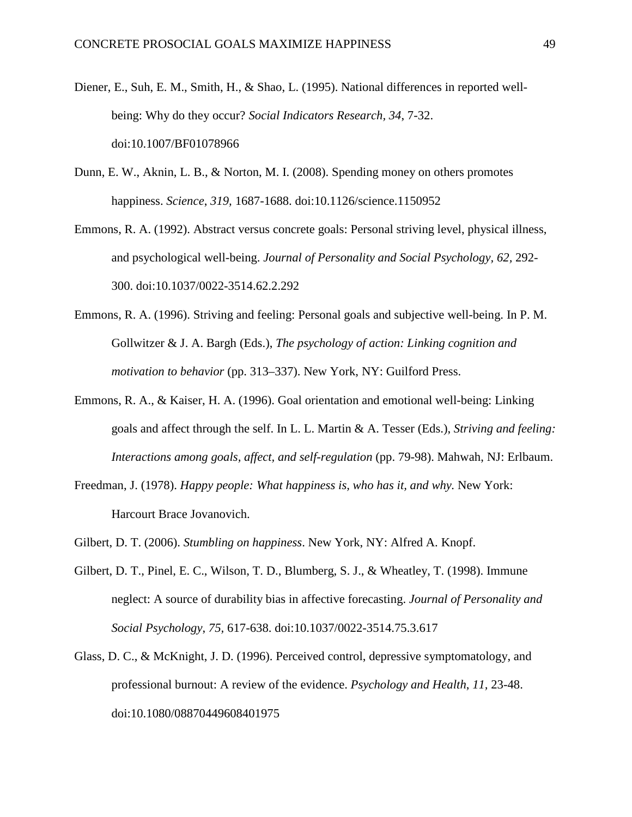- Diener, E., Suh, E. M., Smith, H., & Shao, L. (1995). National differences in reported wellbeing: Why do they occur? *Social Indicators Research, 34*, 7-32. doi:10.1007/BF01078966
- Dunn, E. W., Aknin, L. B., & Norton, M. I. (2008). Spending money on others promotes happiness. *Science*, *319,* 1687-1688. doi:10.1126/science.1150952
- Emmons, R. A. (1992). Abstract versus concrete goals: Personal striving level, physical illness, and psychological well-being. *Journal of Personality and Social Psychology, 62,* 292- 300. doi:10.1037/0022-3514.62.2.292
- Emmons, R. A. (1996). Striving and feeling: Personal goals and subjective well-being. In P. M. Gollwitzer & J. A. Bargh (Eds.), *The psychology of action: Linking cognition and motivation to behavior* (pp. 313–337). New York, NY: Guilford Press.
- Emmons, R. A., & Kaiser, H. A. (1996). Goal orientation and emotional well-being: Linking goals and affect through the self. In L. L. Martin & A. Tesser (Eds.), *Striving and feeling: Interactions among goals, affect, and self-regulation* (pp. 79-98). Mahwah, NJ: Erlbaum.
- Freedman, J. (1978). *Happy people: What happiness is, who has it, and why.* New York: Harcourt Brace Jovanovich.
- Gilbert, D. T. (2006). *Stumbling on happiness*. New York, NY: Alfred A. Knopf.
- Gilbert, D. T., Pinel, E. C., Wilson, T. D., Blumberg, S. J., & Wheatley, T. (1998). Immune neglect: A source of durability bias in affective forecasting. *Journal of Personality and Social Psychology*, *75,* 617-638. doi:10.1037/0022-3514.75.3.617
- Glass, D. C., & McKnight, J. D. (1996). Perceived control, depressive symptomatology, and professional burnout: A review of the evidence. *Psychology and Health*, *11,* 23-48. doi:10.1080/08870449608401975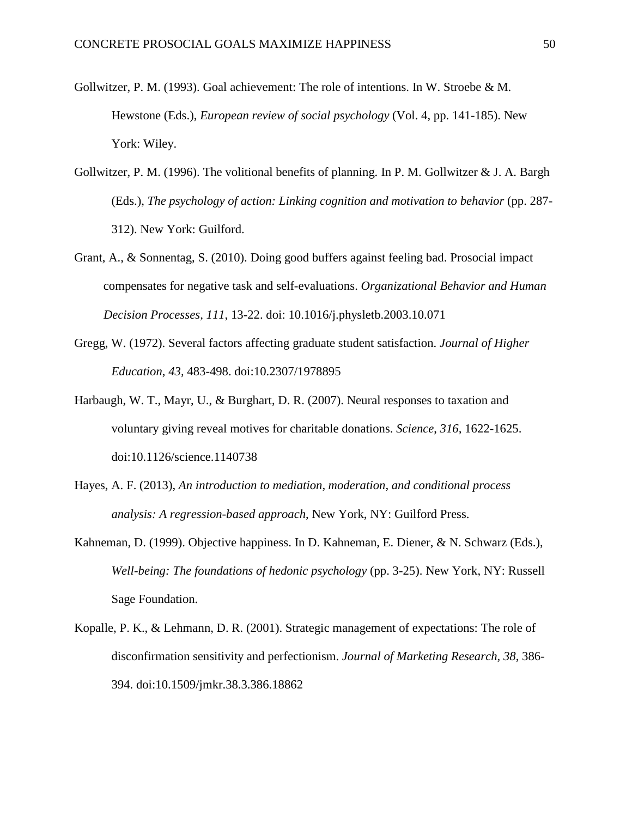- Gollwitzer, P. M. (1993). Goal achievement: The role of intentions. In W. Stroebe & M. Hewstone (Eds.), *European review of social psychology* (Vol. 4, pp. 141-185). New York: Wiley.
- Gollwitzer, P. M. (1996). The volitional benefits of planning. In P. M. Gollwitzer & J. A. Bargh (Eds.), *The psychology of action: Linking cognition and motivation to behavior* (pp. 287- 312). New York: Guilford.
- Grant, A., & Sonnentag, S. (2010). Doing good buffers against feeling bad. Prosocial impact compensates for negative task and self-evaluations. *Organizational Behavior and Human Decision Processes, 111*, 13-22. doi: 10.1016/j.physletb.2003.10.071
- Gregg, W. (1972). Several factors affecting graduate student satisfaction. *Journal of Higher Education*, *43,* 483-498. doi:10.2307/1978895
- Harbaugh, W. T., Mayr, U., & Burghart, D. R. (2007). Neural responses to taxation and voluntary giving reveal motives for charitable donations. *Science*, *316,* 1622-1625. doi:10.1126/science.1140738
- Hayes, A. F. (2013), *An introduction to mediation, moderation, and conditional process analysis: A regression-based approach*, New York, NY: Guilford Press.
- Kahneman, D. (1999). Objective happiness. In D. Kahneman, E. Diener, & N. Schwarz (Eds.), *Well-being: The foundations of hedonic psychology* (pp. 3-25). New York, NY: Russell Sage Foundation.
- Kopalle, P. K., & Lehmann, D. R. (2001). Strategic management of expectations: The role of disconfirmation sensitivity and perfectionism. *Journal of Marketing Research*, *38*, 386- 394. doi:10.1509/jmkr.38.3.386.18862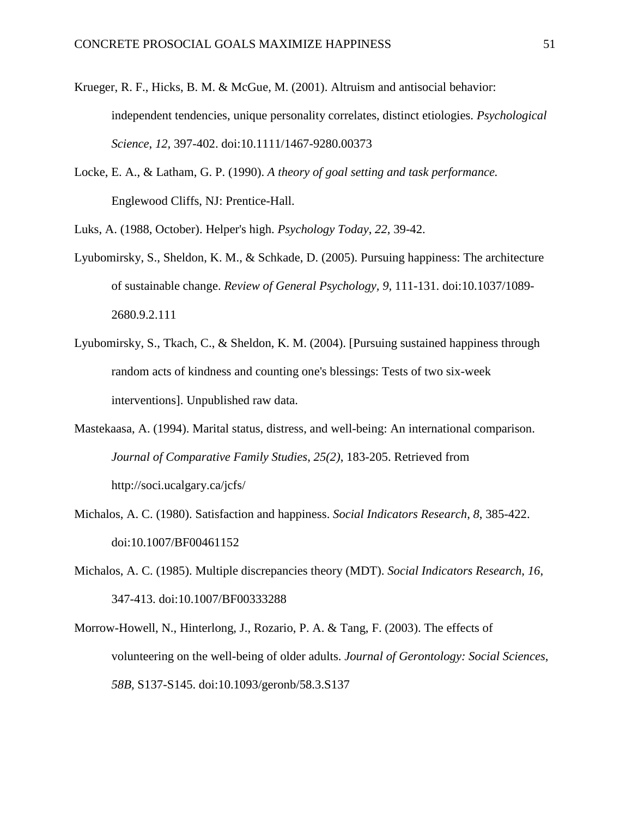- Krueger, R. F., Hicks, B. M. & McGue, M. (2001). Altruism and antisocial behavior: independent tendencies, unique personality correlates, distinct etiologies. *Psychological Science*, *12,* 397-402. doi:10.1111/1467-9280.00373
- Locke, E. A., & Latham, G. P. (1990). *A theory of goal setting and task performance.* Englewood Cliffs, NJ: Prentice-Hall.

Luks, A. (1988, October). Helper's high. *Psychology Today*, *22*, 39-42.

- Lyubomirsky, S., Sheldon, K. M., & Schkade, D. (2005). Pursuing happiness: The architecture of sustainable change. *Review of General Psychology, 9,* 111-131. doi:10.1037/1089- 2680.9.2.111
- Lyubomirsky, S., Tkach, C., & Sheldon, K. M. (2004). [Pursuing sustained happiness through random acts of kindness and counting one's blessings: Tests of two six-week interventions]. Unpublished raw data.
- Mastekaasa, A. (1994). Marital status, distress, and well-being: An international comparison. *Journal of Comparative Family Studies*, *25(2)*, 183-205. Retrieved from http://soci.ucalgary.ca/jcfs/
- Michalos, A. C. (1980). Satisfaction and happiness. *Social Indicators Research*, *8*, 385-422. doi:10.1007/BF00461152
- Michalos, A. C. (1985). Multiple discrepancies theory (MDT). *Social Indicators Research*, *16*, 347-413. doi:10.1007/BF00333288
- Morrow-Howell, N., Hinterlong, J., Rozario, P. A. & Tang, F. (2003). The effects of volunteering on the well-being of older adults. *Journal of Gerontology: Social Sciences*, *58B,* S137-S145. doi:10.1093/geronb/58.3.S137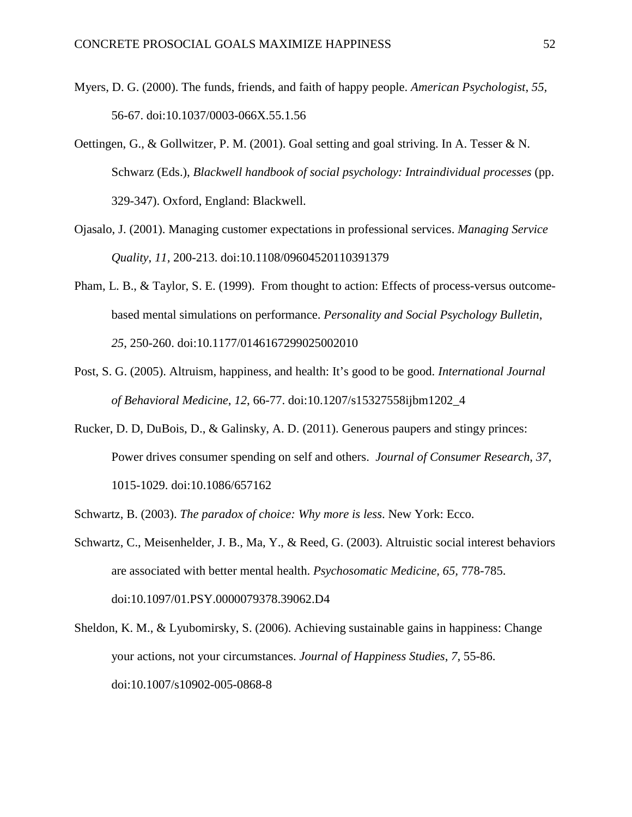- Myers, D. G. (2000). The funds, friends, and faith of happy people. *American Psychologist*, *55,*  56-67. doi:10.1037/0003-066X.55.1.56
- Oettingen, G., & Gollwitzer, P. M. (2001). Goal setting and goal striving. In A. Tesser & N. Schwarz (Eds.), *Blackwell handbook of social psychology: Intraindividual processes* (pp. 329-347). Oxford, England: Blackwell.
- Ojasalo, J. (2001). Managing customer expectations in professional services. *Managing Service Quality*, *11,* 200-213. doi:10.1108/09604520110391379
- Pham, L. B., & Taylor, S. E. (1999). From thought to action: Effects of process-versus outcomebased mental simulations on performance. *Personality and Social Psychology Bulletin*, *25*, 250-260. doi:10.1177/0146167299025002010
- Post, S. G. (2005). Altruism, happiness, and health: It's good to be good. *International Journal of Behavioral Medicine*, *12*, 66-77. doi:10.1207/s15327558ijbm1202\_4
- Rucker, D. D, DuBois, D., & Galinsky, A. D. (2011). Generous paupers and stingy princes: Power drives consumer spending on self and others. *Journal of Consumer Research*, *37*, 1015-1029. doi:10.1086/657162
- Schwartz, B. (2003). *The paradox of choice: Why more is less*. New York: Ecco.
- Schwartz, C., Meisenhelder, J. B., Ma, Y., & Reed, G. (2003). Altruistic social interest behaviors are associated with better mental health. *Psychosomatic Medicine, 65,* 778-785. doi:10.1097/01.PSY.0000079378.39062.D4
- Sheldon, K. M., & Lyubomirsky, S. (2006). Achieving sustainable gains in happiness: Change your actions, not your circumstances. *Journal of Happiness Studies*, *7,* 55-86. doi:10.1007/s10902-005-0868-8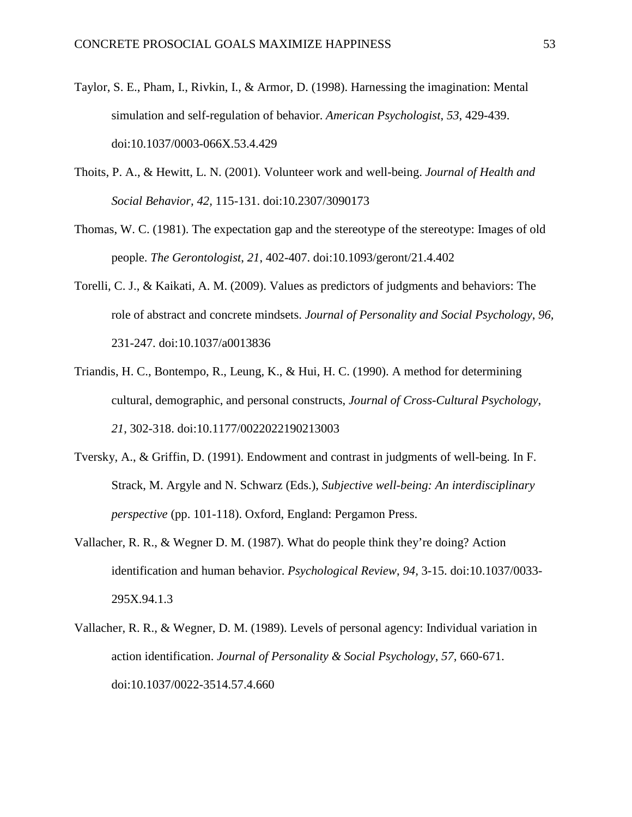- Taylor, S. E., Pham, I., Rivkin, I., & Armor, D. (1998). Harnessing the imagination: Mental simulation and self-regulation of behavior. *American Psychologist*, *53*, 429-439. doi:10.1037/0003-066X.53.4.429
- Thoits, P. A., & Hewitt, L. N. (2001). Volunteer work and well-being. *Journal of Health and Social Behavior, 42,* 115-131. doi:10.2307/3090173
- Thomas, W. C. (1981). The expectation gap and the stereotype of the stereotype: Images of old people. *The Gerontologist*, *21*, 402-407. doi:10.1093/geront/21.4.402
- Torelli, C. J., & Kaikati, A. M. (2009). Values as predictors of judgments and behaviors: The role of abstract and concrete mindsets. *Journal of Personality and Social Psychology*, *96,* 231-247. doi:10.1037/a0013836
- Triandis, H. C., Bontempo, R., Leung, K., & Hui, H. C. (1990). A method for determining cultural, demographic, and personal constructs, *Journal of Cross-Cultural Psychology*, *21*, 302-318. doi:10.1177/0022022190213003
- Tversky, A., & Griffin, D. (1991). Endowment and contrast in judgments of well-being. In F. Strack, M. Argyle and N. Schwarz (Eds.), *Subjective well-being: An interdisciplinary perspective* (pp. 101-118). Oxford, England: Pergamon Press.
- Vallacher, R. R., & Wegner D. M. (1987). What do people think they're doing? Action identification and human behavior. *Psychological Review*, *94,* 3-15. doi:10.1037/0033- 295X.94.1.3
- Vallacher, R. R., & Wegner, D. M. (1989). Levels of personal agency: Individual variation in action identification. *Journal of Personality & Social Psychology*, *57,* 660-671. doi:10.1037/0022-3514.57.4.660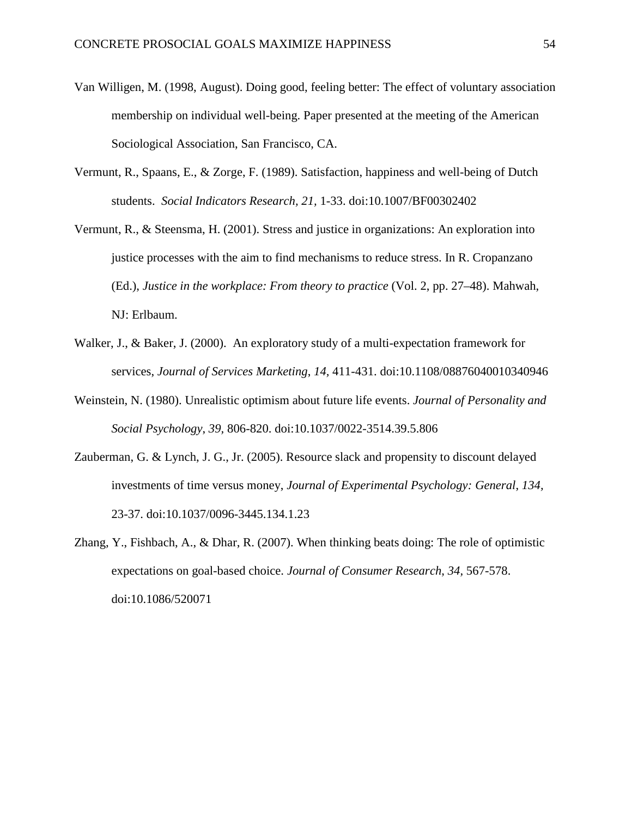- Van Willigen, M. (1998, August). Doing good, feeling better: The effect of voluntary association membership on individual well-being. Paper presented at the meeting of the American Sociological Association, San Francisco, CA.
- Vermunt, R., Spaans, E., & Zorge, F. (1989). Satisfaction, happiness and well-being of Dutch students. *Social Indicators Research, 21,* 1-33. doi:10.1007/BF00302402
- Vermunt, R., & Steensma, H. (2001). Stress and justice in organizations: An exploration into justice processes with the aim to find mechanisms to reduce stress. In R. Cropanzano (Ed.), *Justice in the workplace: From theory to practice* (Vol. 2, pp. 27–48). Mahwah, NJ: Erlbaum.
- Walker, J., & Baker, J. (2000). An exploratory study of a multi-expectation framework for services, *Journal of Services Marketing*, *14,* 411-431. doi:10.1108/08876040010340946
- Weinstein, N. (1980). Unrealistic optimism about future life events. *Journal of Personality and Social Psychology*, *39,* 806-820. doi:10.1037/0022-3514.39.5.806
- Zauberman, G. & Lynch, J. G., Jr. (2005). Resource slack and propensity to discount delayed investments of time versus money, *Journal of Experimental Psychology: General*, *134,* 23-37. doi:10.1037/0096-3445.134.1.23
- Zhang, Y., Fishbach, A., & Dhar, R. (2007). When thinking beats doing: The role of optimistic expectations on goal-based choice. *Journal of Consumer Research*, *34,* 567-578. doi:10.1086/520071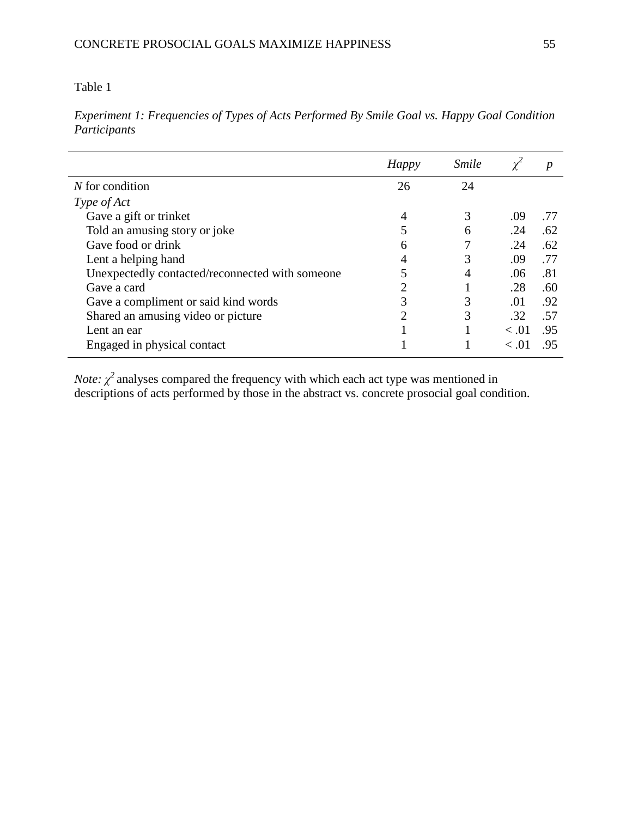*Experiment 1: Frequencies of Types of Acts Performed By Smile Goal vs. Happy Goal Condition Participants*

|                                                 | Happy | <i><u><b>Smile</b></u></i> |               | p   |
|-------------------------------------------------|-------|----------------------------|---------------|-----|
| $N$ for condition                               | 26    | 24                         |               |     |
| Type of Act                                     |       |                            |               |     |
| Gave a gift or trinket                          | 4     | 3                          | .09           | .77 |
| Told an amusing story or joke                   |       | 6                          | .24           | .62 |
| Gave food or drink                              | 6     |                            | .24           | .62 |
| Lent a helping hand                             | 4     |                            | .09           | .77 |
| Unexpectedly contacted/reconnected with someone |       | 4                          | .06           | .81 |
| Gave a card                                     | 2     |                            | .28           | .60 |
| Gave a compliment or said kind words            | 3     | 3                          | .01           | .92 |
| Shared an amusing video or picture              | 2     | 3                          | .32           | .57 |
| Lent an ear                                     |       | I                          | < 0.01        | .95 |
| Engaged in physical contact                     |       |                            | $\langle .01$ | .95 |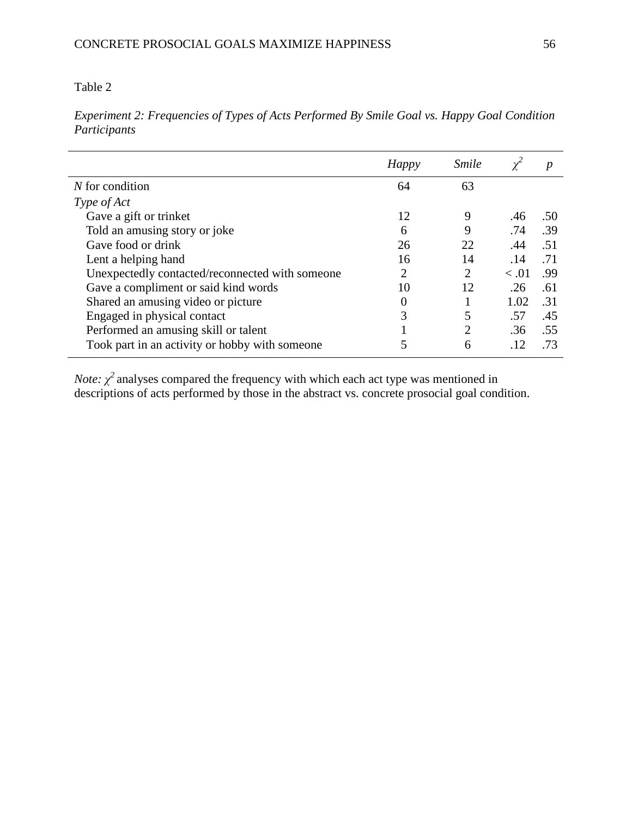*Experiment 2: Frequencies of Types of Acts Performed By Smile Goal vs. Happy Goal Condition Participants*

|                                                 | Happy    | <b>Smile</b>   |        | p   |
|-------------------------------------------------|----------|----------------|--------|-----|
| $N$ for condition                               | 64       | 63             |        |     |
| Type of Act                                     |          |                |        |     |
| Gave a gift or trinket                          | 12       | 9              | .46    | .50 |
| Told an amusing story or joke                   | 6        | 9              | .74    | .39 |
| Gave food or drink                              | 26       | 22             | .44    | .51 |
| Lent a helping hand                             | 16       | 14             | .14    | .71 |
| Unexpectedly contacted/reconnected with someone | 2        | $\overline{2}$ | < 0.01 | .99 |
| Gave a compliment or said kind words            | 10       | 12             | .26    | .61 |
| Shared an amusing video or picture              | $\theta$ |                | 1.02   | .31 |
| Engaged in physical contact                     | 3        | 5              | .57    | .45 |
| Performed an amusing skill or talent            |          | $\overline{2}$ | .36    | .55 |
| Took part in an activity or hobby with someone  |          | 6              | .12    | .73 |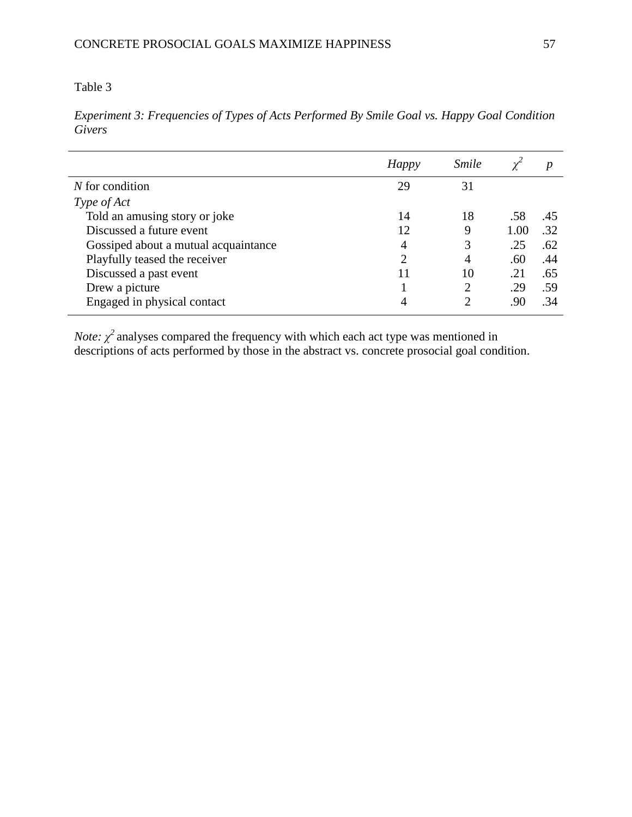*Experiment 3: Frequencies of Types of Acts Performed By Smile Goal vs. Happy Goal Condition Givers*

|                                      | <b>Happy</b>   | <i><u><b>Smile</b></u></i> |      | $\boldsymbol{p}$ |
|--------------------------------------|----------------|----------------------------|------|------------------|
| $N$ for condition                    | 29             | 31                         |      |                  |
| Type of Act                          |                |                            |      |                  |
| Told an amusing story or joke        | 14             | 18                         | .58  | .45              |
| Discussed a future event             | 12             | 9                          | 1.00 | .32              |
| Gossiped about a mutual acquaintance | 4              | 3                          | .25  | .62              |
| Playfully teased the receiver        | $\overline{2}$ | 4                          | .60  | .44              |
| Discussed a past event               | 11             | 10                         | .21  | .65              |
| Drew a picture                       |                | 2                          | .29  | .59              |
| Engaged in physical contact          |                |                            | .90  | .34              |